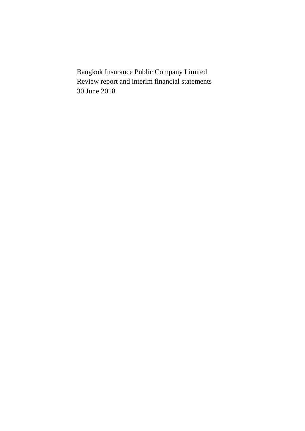Bangkok Insurance Public Company Limited Review report and interim financial statements 30 June 2018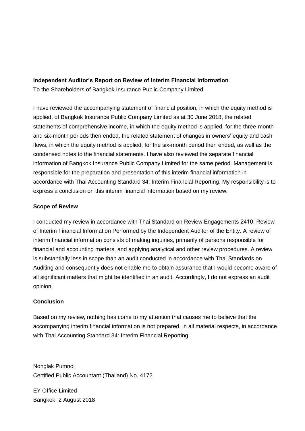#### **Independent Auditor's Report on Review of Interim Financial Information**

To the Shareholders of Bangkok Insurance Public Company Limited

I have reviewed the accompanying statement of financial position, in which the equity method is applied, of Bangkok Insurance Public Company Limited as at 30 June 2018, the related statements of comprehensive income, in which the equity method is applied, for the three-month and six-month periods then ended, the related statement of changes in owners' equity and cash flows, in which the equity method is applied, for the six-month period then ended, as well as the condensed notes to the financial statements. I have also reviewed the separate financial information of Bangkok Insurance Public Company Limited for the same period. Management is responsible for the preparation and presentation of this interim financial information in accordance with Thai Accounting Standard 34: Interim Financial Reporting. My responsibility is to express a conclusion on this interim financial information based on my review.

## **Scope of Review**

I conducted my review in accordance with Thai Standard on Review Engagements 2410: Review of Interim Financial Information Performed by the Independent Auditor of the Entity. A review of interim financial information consists of making inquiries, primarily of persons responsible for financial and accounting matters, and applying analytical and other review procedures. A review is substantially less in scope than an audit conducted in accordance with Thai Standards on Auditing and consequently does not enable me to obtain assurance that I would become aware of all significant matters that might be identified in an audit. Accordingly, I do not express an audit opinion.

## **Conclusion**

Based on my review, nothing has come to my attention that causes me to believe that the accompanying interim financial information is not prepared, in all material respects, in accordance with Thai Accounting Standard 34: Interim Financial Reporting.

Nonglak Pumnoi Certified Public Accountant (Thailand) No. 4172

EY Office Limited Bangkok: 2 August 2018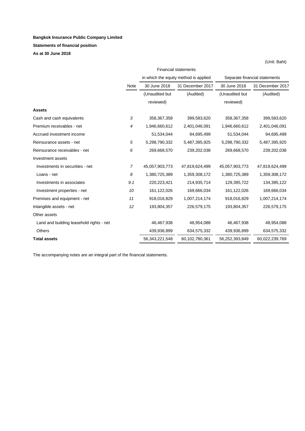# **Bangkok Insurance Public Company Limited**

# **Statements of financial position**

**As at 30 June 2018** 

|                                          | <b>Financial statements</b> |                   |                                       |                               |                  |  |  |
|------------------------------------------|-----------------------------|-------------------|---------------------------------------|-------------------------------|------------------|--|--|
|                                          |                             |                   | in which the equity method is applied | Separate financial statements |                  |  |  |
|                                          | Note                        | 30 June 2018      | 31 December 2017                      | 30 June 2018                  | 31 December 2017 |  |  |
|                                          |                             | (Unaudited but    | (Audited)                             | (Unaudited but                | (Audited)        |  |  |
|                                          |                             | reviewed)         |                                       | reviewed)                     |                  |  |  |
| <b>Assets</b>                            |                             |                   |                                       |                               |                  |  |  |
| Cash and cash equivalents                | 3                           | 358,367,358       | 399,583,620                           | 358, 367, 358                 | 399,583,620      |  |  |
| Premium receivables - net                | 4                           | 1,946,660,612     | 2,401,046,091                         | 1,946,660,612                 | 2,401,046,091    |  |  |
| Accrued investment income                |                             | 51,534,044        | 94,695,499                            | 51,534,044                    | 94,695,499       |  |  |
| Reinsurance assets - net                 | 5                           | 5,298,790,332     | 5,487,395,925                         | 5,298,790,332                 | 5,487,395,925    |  |  |
| Reinsurance receivables - net            | 6                           | 269,668,570       | 239,202,038                           | 269,668,570                   | 239,202,038      |  |  |
| Investment assets                        |                             |                   |                                       |                               |                  |  |  |
| Investments in securities - net          | 7                           | 45,057,903,773    | 47,819,624,499                        | 45,057,903,773                | 47,819,624,499   |  |  |
| Loans - net                              | 8                           | 1,380,725,389     | 1,359,308,172                         | 1,380,725,389                 | 1,359,308,172    |  |  |
| Investments in associates                | 9.1                         | 220,223,421       | 214,935,714                           | 129,395,722                   | 134,395,122      |  |  |
| Investment properties - net              | 10                          | 161,122,026       | 169,666,034                           | 161,122,026                   | 169,666,034      |  |  |
| Premises and equipment - net             | 11                          | 918,016,829       | 1,007,214,174                         | 918,016,829                   | 1,007,214,174    |  |  |
| Intangible assets - net                  | 12                          | 193,804,357       | 226,579,175                           | 193,804,357                   | 226,579,175      |  |  |
| Other assets                             |                             |                   |                                       |                               |                  |  |  |
| Land and building leasehold rights - net |                             | 46,467,938        | 48,954,088                            | 46,467,938                    | 48,954,088       |  |  |
| <b>Others</b>                            |                             | 439,936,899       | 634,575,332                           | 439,936,899                   | 634,575,332      |  |  |
| <b>Total assets</b>                      |                             | 56, 343, 221, 548 | 60,102,780,361                        | 56,252,393,849                | 60,022,239,769   |  |  |

(Unit: Baht)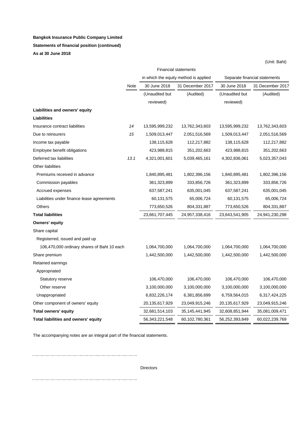## **Bangkok Insurance Public Company Limited Statements of financial position (continued)**

**As at 30 June 2018** 

|                                             |                             |                |                                       |                | (Unit: Baht)                  |  |  |
|---------------------------------------------|-----------------------------|----------------|---------------------------------------|----------------|-------------------------------|--|--|
|                                             | <b>Financial statements</b> |                |                                       |                |                               |  |  |
|                                             |                             |                | in which the equity method is applied |                | Separate financial statements |  |  |
|                                             | <b>Note</b>                 | 30 June 2018   | 31 December 2017                      | 30 June 2018   | 31 December 2017              |  |  |
|                                             |                             | (Unaudited but | (Audited)                             | (Unaudited but | (Audited)                     |  |  |
|                                             |                             | reviewed)      |                                       | reviewed)      |                               |  |  |
| Liabilities and owners' equity              |                             |                |                                       |                |                               |  |  |
| Liabilities                                 |                             |                |                                       |                |                               |  |  |
| Insurance contract liabilities              | 14                          | 13,595,999,232 | 13,762,343,603                        | 13,595,999,232 | 13,762,343,603                |  |  |
| Due to reinsurers                           | 15                          | 1,509,013,447  | 2,051,516,569                         | 1,509,013,447  | 2,051,516,569                 |  |  |
| Income tax payable                          |                             | 138,115,628    | 112,217,882                           | 138,115,628    | 112,217,882                   |  |  |
| Employee benefit obligations                |                             | 423,988,815    | 351,202,663                           | 423,988,815    | 351,202,663                   |  |  |
| Deferred tax liabilities                    | 13.1                        | 4,321,001,601  | 5,039,465,161                         | 4,302,836,061  | 5,023,357,043                 |  |  |
| Other liabilities                           |                             |                |                                       |                |                               |  |  |
| Premiums received in advance                |                             | 1,840,895,481  | 1,802,396,156                         | 1,840,895,481  | 1,802,396,156                 |  |  |
| Commission payables                         |                             | 361,323,899    | 333,856,726                           | 361,323,899    | 333,856,726                   |  |  |
| Accrued expenses                            |                             | 637,587,241    | 635,001,045                           | 637,587,241    | 635,001,045                   |  |  |
| Liabilities under finance lease agreements  |                             | 60,131,575     | 65,006,724                            | 60,131,575     | 65,006,724                    |  |  |
| <b>Others</b>                               |                             | 773,650,526    | 804,331,887                           | 773,650,526    | 804,331,887                   |  |  |
| <b>Total liabilities</b>                    |                             | 23,661,707,445 | 24,957,338,416                        | 23,643,541,905 | 24,941,230,298                |  |  |
| <b>Owners' equity</b>                       |                             |                |                                       |                |                               |  |  |
| Share capital                               |                             |                |                                       |                |                               |  |  |
| Registerred, issued and paid up             |                             |                |                                       |                |                               |  |  |
| 106,470,000 ordinary shares of Baht 10 each |                             | 1,064,700,000  | 1,064,700,000                         | 1,064,700,000  | 1,064,700,000                 |  |  |
| Share premium                               |                             | 1,442,500,000  | 1,442,500,000                         | 1,442,500,000  | 1,442,500,000                 |  |  |
| Retained earnings                           |                             |                |                                       |                |                               |  |  |
| Appropriated                                |                             |                |                                       |                |                               |  |  |
| <b>Statutory reserve</b>                    |                             | 106,470,000    | 106,470,000                           | 106,470,000    | 106,470,000                   |  |  |
| Other reserve                               |                             | 3,100,000,000  | 3,100,000,000                         | 3,100,000,000  | 3,100,000,000                 |  |  |
| Unappropriated                              |                             | 6,832,226,174  | 6,381,856,699                         | 6,759,564,015  | 6,317,424,225                 |  |  |
| Other component of owners' equity           |                             | 20,135,617,929 | 23,049,915,246                        | 20,135,617,929 | 23,049,915,246                |  |  |
| <b>Total owners' equity</b>                 |                             | 32,681,514,103 | 35, 145, 441, 945                     | 32,608,851,944 | 35,081,009,471                |  |  |
| Total liabilities and owners' equity        |                             | 56,343,221,548 | 60,102,780,361                        | 56,252,393,849 | 60,022,239,769                |  |  |

The accompanying notes are an integral part of the financial statements.

Directors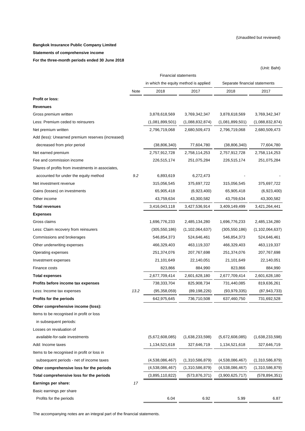#### **Bangkok Insurance Public Company Limited**

#### **Statements of comprehensive income**

**For the three-month periods ended 30 June 2018** 

(Unit: Baht)

|                                                   |      | <b>Financial statements</b>           |                    |                               |                    |  |
|---------------------------------------------------|------|---------------------------------------|--------------------|-------------------------------|--------------------|--|
|                                                   |      | in which the equity method is applied |                    | Separate financial statements |                    |  |
|                                                   | Note | 2018                                  | 2017               | 2018                          | 2017               |  |
| <b>Profit or loss:</b>                            |      |                                       |                    |                               |                    |  |
| <b>Revenues</b>                                   |      |                                       |                    |                               |                    |  |
| Gross premium written                             |      | 3,878,618,569                         | 3,769,342,347      | 3,878,618,569                 | 3,769,342,347      |  |
| Less: Premium ceded to reinsurers                 |      | (1,081,899,501)                       | (1,088,832,874)    | (1,081,899,501)               | (1,088,832,874)    |  |
| Net premium written                               |      | 2,796,719,068                         | 2,680,509,473      | 2,796,719,068                 | 2,680,509,473      |  |
| Add (less): Unearned premium reserves (increased) |      |                                       |                    |                               |                    |  |
| decreased from prior period                       |      | (38, 806, 340)                        | 77,604,780         | (38, 806, 340)                | 77,604,780         |  |
| Net earned premium                                |      | 2,757,912,728                         | 2,758,114,253      | 2,757,912,728                 | 2,758,114,253      |  |
| Fee and commission income                         |      | 226,515,174                           | 251,075,284        | 226,515,174                   | 251,075,284        |  |
| Shares of profits from investments in associates, |      |                                       |                    |                               |                    |  |
| accounted for under the equity method             | 9.2  | 6,893,619                             | 6,272,473          |                               |                    |  |
| Net investment revenue                            |      | 315,056,545                           | 375,697,722        | 315,056,545                   | 375,697,722        |  |
| Gains (losses) on investments                     |      | 65,905,418                            | (6,923,400)        | 65,905,418                    | (6,923,400)        |  |
| Other income                                      |      | 43,759,634                            | 43,300,582         | 43,759,634                    | 43,300,582         |  |
| <b>Total revenues</b>                             |      | 3,416,043,118                         | 3,427,536,914      | 3,409,149,499                 | 3,421,264,441      |  |
| <b>Expenses</b>                                   |      |                                       |                    |                               |                    |  |
| Gross claims                                      |      | 1,696,776,233                         | 2,485,134,280      | 1,696,776,233                 | 2,485,134,280      |  |
| Less: Claim recovery from reinsurers              |      | (305, 550, 186)                       | (1, 102, 064, 637) | (305, 550, 186)               | (1, 102, 064, 637) |  |
| Commissions and brokerages                        |      | 546,854,373                           | 524,646,461        | 546,854,373                   | 524,646,461        |  |
| Other underwriting expenses                       |      | 466,329,403                           | 463,119,337        | 466,329,403                   | 463,119,337        |  |
| Operating expenses                                |      | 251,374,076                           | 207,767,698        | 251,374,076                   | 207,767,698        |  |
| Investment expenses                               |      | 21,101,649                            | 22,140,051         | 21,101,649                    | 22,140,051         |  |
| Finance costs                                     |      | 823,866                               | 884,990            | 823,866                       | 884,990            |  |
| <b>Total expenses</b>                             |      | 2,677,709,414                         | 2,601,628,180      | 2,677,709,414                 | 2,601,628,180      |  |
| Profits before income tax expenses                |      | 738,333,704                           | 825,908,734        | 731,440,085                   | 819,636,261        |  |
| Less: Income tax expenses                         | 13.2 | (95, 358, 059)                        | (89, 198, 226)     | (93, 979, 335)                | (87, 943, 733)     |  |
| Profits for the periods                           |      | 642,975,645                           | 736,710,508        | 637,460,750                   | 731,692,528        |  |
| Other comprehensive income (loss):                |      |                                       |                    |                               |                    |  |
| Items to be recognised in profit or loss          |      |                                       |                    |                               |                    |  |
| in subsequent periods:                            |      |                                       |                    |                               |                    |  |
| Losses on revaluation of                          |      |                                       |                    |                               |                    |  |
| available-for-sale investments                    |      | (5,672,608,085)                       | (1,638,233,598)    | (5,672,608,085)               | (1,638,233,598)    |  |
| Add: Income taxes                                 |      | 1,134,521,618                         | 327,646,719        | 1,134,521,618                 | 327,646,719        |  |
| Items to be recognised in profit or loss in       |      |                                       |                    |                               |                    |  |
| subsequent periods - net of income taxes          |      | (4,538,086,467)                       | (1,310,586,879)    | (4,538,086,467)               | (1,310,586,879)    |  |
| Other comprehensive loss for the periods          |      | (4,538,086,467)                       | (1,310,586,879)    | (4,538,086,467)               | (1,310,586,879)    |  |
| Total comprehensive loss for the periods          |      | (3,895,110,822)                       | (573, 876, 371)    | (3,900,625,717)               | (578, 894, 351)    |  |
| Earnings per share:                               | 17   |                                       |                    |                               |                    |  |
| Basic earnings per share                          |      |                                       |                    |                               |                    |  |
| Profits for the periods                           |      | 6.04                                  | 6.92               | 5.99                          | 6.87               |  |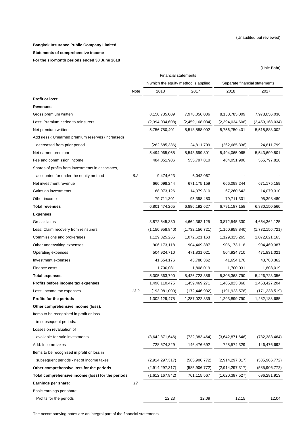(Unit: Baht)

#### **Bangkok Insurance Public Company Limited**

#### **Statements of comprehensive income**

**For the six-month periods ended 30 June 2018** 

|                                                   | <b>Financial statements</b> |                                       |                 |                               |                 |  |  |
|---------------------------------------------------|-----------------------------|---------------------------------------|-----------------|-------------------------------|-----------------|--|--|
|                                                   |                             | in which the equity method is applied |                 | Separate financial statements |                 |  |  |
|                                                   | Note                        | 2018                                  | 2017            | 2018                          | 2017            |  |  |
| Profit or loss:                                   |                             |                                       |                 |                               |                 |  |  |
| <b>Revenues</b>                                   |                             |                                       |                 |                               |                 |  |  |
| Gross premium written                             |                             | 8,150,785,009                         | 7,978,056,036   | 8,150,785,009                 | 7,978,056,036   |  |  |
| Less: Premium ceded to reinsurers                 |                             | (2,394,034,608)                       | (2,459,168,034) | (2,394,034,608)               | (2,459,168,034) |  |  |
| Net premium written                               |                             | 5,756,750,401                         | 5,518,888,002   | 5,756,750,401                 | 5,518,888,002   |  |  |
| Add (less): Unearned premium reserves (increased) |                             |                                       |                 |                               |                 |  |  |
| decreased from prior period                       |                             | (262, 685, 336)                       | 24,811,799      | (262, 685, 336)               | 24,811,799      |  |  |
| Net earned premium                                |                             | 5,494,065,065                         | 5,543,699,801   | 5,494,065,065                 | 5,543,699,801   |  |  |
| Fee and commission income                         |                             | 484,051,906                           | 555,797,810     | 484,051,906                   | 555,797,810     |  |  |
| Shares of profits from investments in associates, |                             |                                       |                 |                               |                 |  |  |
| accounted for under the equity method             | 9.2                         | 9,474,623                             | 6,042,067       |                               |                 |  |  |
| Net investment revenue                            |                             | 666,098,244                           | 671,175,159     | 666,098,244                   | 671,175,159     |  |  |
| Gains on investments                              |                             | 68,073,126                            | 14,079,310      | 67,260,642                    | 14,079,310      |  |  |
| Other income                                      |                             | 79,711,301                            | 95,398,480      | 79,711,301                    | 95,398,480      |  |  |
| <b>Total revenues</b>                             |                             | 6,801,474,265                         | 6,886,192,627   | 6,791,187,158                 | 6,880,150,560   |  |  |
| <b>Expenses</b>                                   |                             |                                       |                 |                               |                 |  |  |
| Gross claims                                      |                             | 3,872,545,330                         | 4,664,362,125   | 3,872,545,330                 | 4,664,362,125   |  |  |
| Less: Claim recovery from reinsurers              |                             | (1, 150, 958, 840)                    | (1,732,156,721) | (1,150,958,840)               | (1,732,156,721) |  |  |
| Commissions and brokerages                        |                             | 1,129,325,265                         | 1,072,621,163   | 1,129,325,265                 | 1,072,621,163   |  |  |
| Other underwriting expenses                       |                             | 906,173,118                           | 904,469,387     | 906, 173, 118                 | 904,469,387     |  |  |
| Operating expenses                                |                             | 504,924,710                           | 471,831,021     | 504,924,710                   | 471,831,021     |  |  |
| Investment expenses                               |                             | 41,654,176                            | 43,788,362      | 41,654,176                    | 43,788,362      |  |  |
| Finance costs                                     |                             | 1,700,031                             | 1,808,019       | 1,700,031                     | 1,808,019       |  |  |
| <b>Total expenses</b>                             |                             | 5,305,363,790                         | 5,426,723,356   | 5,305,363,790                 | 5,426,723,356   |  |  |
| Profits before income tax expenses                |                             | 1,496,110,475                         | 1,459,469,271   | 1,485,823,368                 | 1,453,427,204   |  |  |
| Less: Income tax expenses                         | 13.2                        | (193, 981, 000)                       | (172,446,932)   | (191,923,578)                 | (171,238,519)   |  |  |
| <b>Profits for the periods</b>                    |                             | 1,302,129,475                         | 1,287,022,339   | 1,293,899,790                 | 1,282,188,685   |  |  |
| Other comprehensive income (loss):                |                             |                                       |                 |                               |                 |  |  |
| Items to be recognised in profit or loss          |                             |                                       |                 |                               |                 |  |  |
| in subsequent periods:                            |                             |                                       |                 |                               |                 |  |  |
| Losses on revaluation of                          |                             |                                       |                 |                               |                 |  |  |
| available-for-sale investments                    |                             | (3,642,871,646)                       | (732, 383, 464) | (3,642,871,646)               | (732,383,464)   |  |  |
| Add: Income taxes                                 |                             | 728,574,329                           | 146,476,692     | 728,574,329                   | 146,476,692     |  |  |
| Items to be recognised in profit or loss in       |                             |                                       |                 |                               |                 |  |  |
| subsequent periods - net of income taxes          |                             | (2,914,297,317)                       | (585,906,772)   | (2,914,297,317)               | (585,906,772)   |  |  |
| Other comprehensive loss for the periods          |                             | (2,914,297,317)                       | (585,906,772)   | (2,914,297,317)               | (585,906,772)   |  |  |
| Total comprehensive income (loss) for the periods |                             | (1,612,167,842)                       | 701,115,567     | (1,620,397,527)               | 696,281,913     |  |  |
| Earnings per share:                               | 17                          |                                       |                 |                               |                 |  |  |
| Basic earnings per share                          |                             |                                       |                 |                               |                 |  |  |
| Profits for the periods                           |                             | 12.23                                 | 12.09           | 12.15                         | 12.04           |  |  |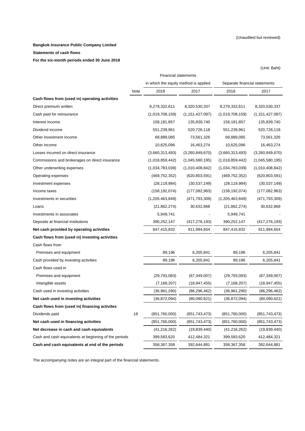#### **Bangkok Insurance Public Company Limited**

#### **Statements of cash flows**

**For the six-month periods ended 30 June 2018** 

|                                                       |      |                                       |                    |                               | (Unit: Baht)       |  |
|-------------------------------------------------------|------|---------------------------------------|--------------------|-------------------------------|--------------------|--|
|                                                       |      | <b>Financial statements</b>           |                    |                               |                    |  |
|                                                       |      | in which the equity method is applied |                    | Separate financial statements |                    |  |
|                                                       | Note | 2018                                  | 2017               | 2018                          | 2017               |  |
| Cash flows from (used in) operating activities        |      |                                       |                    |                               |                    |  |
| Direct premium written                                |      | 8,279,332,611                         | 8,320,530,337      | 8,279,332,611                 | 8,320,530,337      |  |
| Cash paid for reinsurance                             |      | (1,019,708,159)                       | (1, 151, 427, 097) | (1,019,708,159)               | (1, 151, 427, 097) |  |
| Interest income                                       |      | 158, 181, 857                         | 135,839,740        | 158,181,857                   | 135,839,740        |  |
| Dividend income                                       |      | 551,239,961                           | 520,726,118        | 551,239,961                   | 520,726,118        |  |
| Other investment income                               |      | 68,889,085                            | 73,561,326         | 68,889,085                    | 73,561,326         |  |
| Other income                                          |      | 10,625,096                            | 16,463,274         | 10,625,096                    | 16,463,274         |  |
| Losses incurred on direct insurance                   |      | (3,660,313,493)                       | (3,260,849,670)    | (3,660,313,493)               | (3,260,849,670)    |  |
| Commissions and brokerages on direct insurance        |      | (1,018,859,442)                       | (1,045,580,195)    | (1,018,859,442)               | (1,045,580,195)    |  |
| Other underwriting expenses                           |      | (1,034,783,039)                       | (1,010,408,842)    | (1,034,783,039)               | (1,010,408,842)    |  |
| Operating expenses                                    |      | (469,752,352)                         | (620, 803, 591)    | (469, 752, 352)               | (620, 803, 591)    |  |
| Investment expenses                                   |      | (28, 119, 984)                        | (30, 537, 149)     | (28, 119, 984)                | (30, 537, 149)     |  |
| Income taxes                                          |      | (158,192,074)                         | (177, 082, 963)    | (158, 192, 074)               | (177, 082, 963)    |  |
| Investments in securities                             |      | (1,205,463,849)                       | (471, 793, 309)    | (1,205,463,849)               | (471, 793, 309)    |  |
| Loans                                                 |      | (21, 862, 274)                        | 30,632,868         | (21, 862, 274)                | 30,632,868         |  |
| Investments in associates                             |      | 5,949,741                             |                    | 5,949,741                     |                    |  |
| Deposits at financial institutions                    |      | 390,252,147                           | (417, 276, 193)    | 390,252,147                   | (417, 276, 193)    |  |
| Net cash provided by operating activities             |      | 847,415,832                           | 911,994,654        | 847,415,832                   | 911,994,654        |  |
| Cash flows from (used in) investing activities        |      |                                       |                    |                               |                    |  |
| Cash flows from                                       |      |                                       |                    |                               |                    |  |
| Premises and equipment                                |      | 89,196                                | 6,205,841          | 89,196                        | 6,205,841          |  |
| Cash provided by investing activities                 |      | 89,196                                | 6,205,841          | 89,196                        | 6,205,841          |  |
| Cash flows used in                                    |      |                                       |                    |                               |                    |  |
| Premises and equipment                                |      | (29, 793, 083)                        | (67, 349, 007)     | (29, 793, 083)                | (67, 349, 007)     |  |
| Intangible assets                                     |      | (7, 168, 207)                         | (18, 947, 455)     | (7, 168, 207)                 | (18, 947, 455)     |  |
| Cash used in investing activities                     |      | (36,961,290)                          | (86, 296, 462)     | (36,961,290)                  | (86, 296, 462)     |  |
| Net cash used in investing activities                 |      | (36,872,094)                          | (80,090,621)       | (36, 872, 094)                | (80,090,621)       |  |
| Cash flows from (used in) financing activites         |      |                                       |                    |                               |                    |  |
| Dividends paid                                        | 18   | (851,760,000)                         | (851, 743, 473)    | (851,760,000)                 | (851,743,473)      |  |
| Net cash used in financing activities                 |      | (851,760,000)                         | (851, 743, 473)    | (851,760,000)                 | (851, 743, 473)    |  |
| Net decrease in cash and cash equivalents             |      | (41, 216, 262)                        | (19,839,440)       | (41, 216, 262)                | (19,839,440)       |  |
| Cash and cash equivalents at beginning of the periods |      | 399,583,620                           | 412,484,321        | 399,583,620                   | 412,484,321        |  |
| Cash and cash equivalents at end of the periods       |      | 358,367,358                           | 392,644,881        | 358, 367, 358                 | 392,644,881        |  |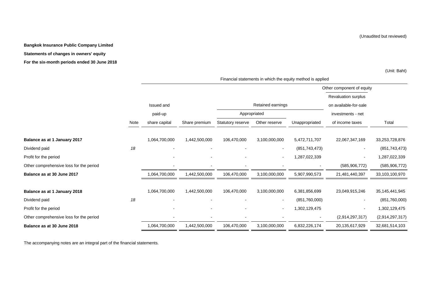#### **Bangkok Insurance Public Company Limited**

#### **Statements of changes in owners' equity**

**For the six-month periods ended 30 June 2018** 

(Unit: Baht)

|                                         |      |               |               |                   |                          |                   | Other component of equity |                   |
|-----------------------------------------|------|---------------|---------------|-------------------|--------------------------|-------------------|---------------------------|-------------------|
|                                         |      |               |               |                   |                          |                   | Revaluation surplus       |                   |
|                                         |      | Issued and    |               |                   | Retained earnings        |                   | on available-for-sale     |                   |
|                                         |      | paid-up       |               | Appropriated      |                          | investments - net |                           |                   |
|                                         | Note | share capital | Share premium | Statutory reserve | Other reserve            | Unappropriated    | of income taxes           | Total             |
| Balance as at 1 January 2017            |      | 1,064,700,000 | 1,442,500,000 | 106,470,000       | 3,100,000,000            | 5,472,711,707     | 22,067,347,169            | 33,253,728,876    |
| Dividend paid                           | 18   |               |               |                   | $\overline{\phantom{a}}$ | (851,743,473)     | $\sim$                    | (851, 743, 473)   |
| Profit for the period                   |      |               |               |                   | $\overline{\phantom{a}}$ | 1,287,022,339     | $\sim$                    | 1,287,022,339     |
| Other comprehensive loss for the period |      |               |               |                   |                          |                   | (585, 906, 772)           | (585, 906, 772)   |
| Balance as at 30 June 2017              |      | 1,064,700,000 | 1,442,500,000 | 106,470,000       | 3,100,000,000            | 5,907,990,573     | 21,481,440,397            | 33,103,100,970    |
|                                         |      |               |               |                   |                          |                   |                           |                   |
| Balance as at 1 January 2018            |      | 1,064,700,000 | 1,442,500,000 | 106,470,000       | 3,100,000,000            | 6,381,856,699     | 23,049,915,246            | 35, 145, 441, 945 |
| Dividend paid                           | 18   |               |               |                   | $\overline{\phantom{a}}$ | (851,760,000)     | $\sim$                    | (851,760,000)     |
| Profit for the period                   |      |               |               |                   | $\blacksquare$           | 1,302,129,475     | $\sim$                    | 1,302,129,475     |
| Other comprehensive loss for the period |      |               |               |                   |                          |                   | (2,914,297,317)           | (2,914,297,317)   |
| Balance as at 30 June 2018              |      | 1,064,700,000 | 1,442,500,000 | 106,470,000       | 3,100,000,000            | 6,832,226,174     | 20,135,617,929            | 32,681,514,103    |

Financial statements in which the equity method is applied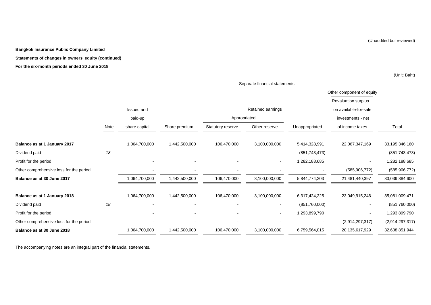**Bangkok Insurance Public Company Limited**

**Statements of changes in owners' equity (continued)**

**For the six-month periods ended 30 June 2018**

(Unit: Baht)

|                                         |      | Separate financial statements |                              |                   |                   |                 |                           |                 |  |
|-----------------------------------------|------|-------------------------------|------------------------------|-------------------|-------------------|-----------------|---------------------------|-----------------|--|
|                                         |      |                               |                              |                   |                   |                 | Other component of equity |                 |  |
|                                         |      |                               |                              |                   |                   |                 | Revaluation surplus       |                 |  |
|                                         |      | Issued and                    |                              |                   | Retained earnings |                 | on available-for-sale     |                 |  |
|                                         |      | paid-up                       |                              | Appropriated      |                   |                 | investments - net         |                 |  |
|                                         | Note | share capital                 | Share premium                | Statutory reserve | Other reserve     | Unappropriated  | of income taxes           | Total           |  |
| Balance as at 1 January 2017            |      | 1,064,700,000                 | 1,442,500,000                | 106,470,000       | 3,100,000,000     | 5,414,328,991   | 22,067,347,169            | 33,195,346,160  |  |
| Dividend paid                           | 18   |                               | $\blacksquare$               | $\blacksquare$    | $\blacksquare$    | (851, 743, 473) | $\blacksquare$            | (851, 743, 473) |  |
| Profit for the period                   |      | $\blacksquare$                | $\qquad \qquad \blacksquare$ | $\blacksquare$    |                   | 1,282,188,685   | $\blacksquare$            | 1,282,188,685   |  |
| Other comprehensive loss for the period |      |                               |                              |                   |                   |                 | (585, 906, 772)           | (585, 906, 772) |  |
| Balance as at 30 June 2017              |      | 1,064,700,000                 | 1,442,500,000                | 106,470,000       | 3,100,000,000     | 5,844,774,203   | 21,481,440,397            | 33,039,884,600  |  |
| Balance as at 1 January 2018            |      | 1,064,700,000                 | 1,442,500,000                | 106,470,000       | 3,100,000,000     | 6,317,424,225   | 23,049,915,246            | 35,081,009,471  |  |
| Dividend paid                           | 18   |                               |                              |                   |                   | (851,760,000)   | $\overline{\phantom{a}}$  | (851,760,000)   |  |
| Profit for the period                   |      |                               |                              |                   |                   | 1,293,899,790   | $\blacksquare$            | 1,293,899,790   |  |
| Other comprehensive loss for the period |      |                               | $\blacksquare$               |                   |                   |                 | (2,914,297,317)           | (2,914,297,317) |  |
| Balance as at 30 June 2018              |      | 1,064,700,000                 | 1,442,500,000                | 106,470,000       | 3,100,000,000     | 6,759,564,015   | 20,135,617,929            | 32,608,851,944  |  |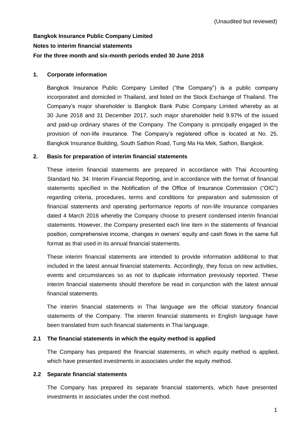# **Bangkok Insurance Public Company Limited Notes to interim financial statements For the three month and six-month periods ended 30 June 2018**

## **1. Corporate information**

Bangkok Insurance Public Company Limited ("the Company") is a public company incorporated and domiciled in Thailand, and listed on the Stock Exchange of Thailand. The Company's major shareholder is Bangkok Bank Pubic Company Limited whereby as at 30 June 2018 and 31 December 2017, such major shareholder held 9.97% of the issued and paid-up ordinary shares of the Company. The Company is principally engaged in the provision of non-life insurance. The Company's registered office is located at No. 25, Bangkok Insurance Building, South Sathon Road, Tung Ma Ha Mek, Sathon, Bangkok.

## **2. Basis for preparation of interim financial statements**

These interim financial statements are prepared in accordance with Thai Accounting Standard No. 34: Interim Financial Reporting, and in accordance with the format of financial statements specified in the Notification of the Office of Insurance Commission ("OIC") regarding criteria, procedures, terms and conditions for preparation and submission of financial statements and operating performance reports of non-life insurance companies dated 4 March 2016 whereby the Company choose to present condensed interim financial statements. However, the Company presented each line item in the statements of financial position, comprehensive income, changes in owners' equity and cash flows in the same full format as that used in its annual financial statements.

These interim financial statements are intended to provide information additional to that included in the latest annual financial statements. Accordingly, they focus on new activities, events and circumstances so as not to duplicate information previously reported. These interim financial statements should therefore be read in conjunction with the latest annual financial statements.

The interim financial statements in Thai language are the official statutory financial statements of the Company. The interim financial statements in English language have been translated from such financial statements in Thai language.

#### **2.1 The financial statements in which the equity method is applied**

The Company has prepared the financial statements, in which equity method is applied, which have presented investments in associates under the equity method.

#### **2.2 Separate financial statements**

The Company has prepared its separate financial statements, which have presented investments in associates under the cost method.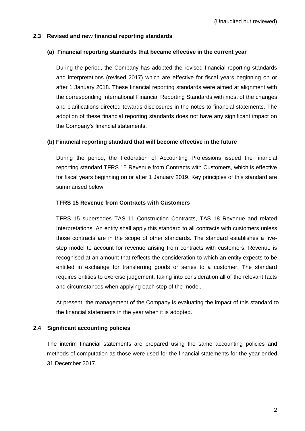#### **2.3 Revised and new financial reporting standards**

#### **(a) Financial reporting standards that became effective in the current year**

During the period, the Company has adopted the revised financial reporting standards and interpretations (revised 2017) which are effective for fiscal years beginning on or after 1 January 2018. These financial reporting standards were aimed at alignment with the corresponding International Financial Reporting Standards with most of the changes and clarifications directed towards disclosures in the notes to financial statements. The adoption of these financial reporting standards does not have any significant impact on the Company's financial statements.

## **(b) Financial reporting standard that will become effective in the future**

During the period, the Federation of Accounting Professions issued the financial reporting standard TFRS 15 Revenue from Contracts with Customers, which is effective for fiscal years beginning on or after 1 January 2019. Key principles of this standard are summarised below.

#### **TFRS 15 Revenue from Contracts with Customers**

TFRS 15 supersedes TAS 11 Construction Contracts, TAS 18 Revenue and related Interpretations. An entity shall apply this standard to all contracts with customers unless those contracts are in the scope of other standards. The standard establishes a fivestep model to account for revenue arising from contracts with customers. Revenue is recognised at an amount that reflects the consideration to which an entity expects to be entitled in exchange for transferring goods or series to a customer. The standard requires entities to exercise judgement, taking into consideration all of the relevant facts and circumstances when applying each step of the model.

At present, the management of the Company is evaluating the impact of this standard to the financial statements in the year when it is adopted.

## **2.4 Significant accounting policies**

The interim financial statements are prepared using the same accounting policies and methods of computation as those were used for the financial statements for the year ended 31 December 2017.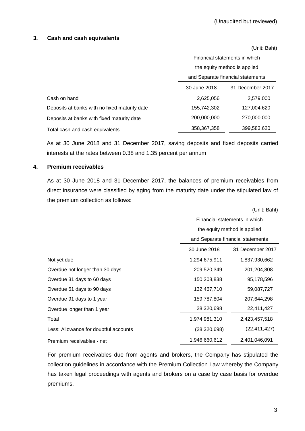## **3. Cash and cash equivalents**

|                                               |              | Financial statements in which<br>the equity method is applied |  |  |  |
|-----------------------------------------------|--------------|---------------------------------------------------------------|--|--|--|
|                                               |              | and Separate financial statements                             |  |  |  |
|                                               | 30 June 2018 | 31 December 2017                                              |  |  |  |
| Cash on hand                                  | 2,625,056    | 2,579,000                                                     |  |  |  |
| Deposits at banks with no fixed maturity date | 155,742,302  | 127,004,620                                                   |  |  |  |
| Deposits at banks with fixed maturity date    | 200,000,000  | 270,000,000                                                   |  |  |  |
| Total cash and cash equivalents               | 358,367,358  | 399,583,620                                                   |  |  |  |

As at 30 June 2018 and 31 December 2017, saving deposits and fixed deposits carried interests at the rates between 0.38 and 1.35 percent per annum.

#### **4. Premium receivables**

As at 30 June 2018 and 31 December 2017, the balances of premium receivables from direct insurance were classified by aging from the maturity date under the stipulated law of the premium collection as follows:

|                                       |                                   | (Unit: Baht)                 |  |  |
|---------------------------------------|-----------------------------------|------------------------------|--|--|
|                                       | Financial statements in which     |                              |  |  |
|                                       |                                   | the equity method is applied |  |  |
|                                       | and Separate financial statements |                              |  |  |
|                                       | 30 June 2018                      | 31 December 2017             |  |  |
| Not yet due                           | 1,294,675,911                     | 1,837,930,662                |  |  |
| Overdue not longer than 30 days       | 209,520,349                       | 201,204,808                  |  |  |
| Overdue 31 days to 60 days            | 150,208,838                       | 95,178,596                   |  |  |
| Overdue 61 days to 90 days            | 132,467,710                       | 59,087,727                   |  |  |
| Overdue 91 days to 1 year             | 159,787,804                       | 207,644,298                  |  |  |
| Overdue longer than 1 year            | 28,320,698                        | 22,411,427                   |  |  |
| Total                                 | 1,974,981,310                     | 2,423,457,518                |  |  |
| Less: Allowance for doubtful accounts | (28, 320, 698)                    | (22, 411, 427)               |  |  |
| Premium receivables - net             | 1,946,660,612                     | 2,401,046,091                |  |  |

For premium receivables due from agents and brokers, the Company has stipulated the collection guidelines in accordance with the Premium Collection Law whereby the Company has taken legal proceedings with agents and brokers on a case by case basis for overdue premiums.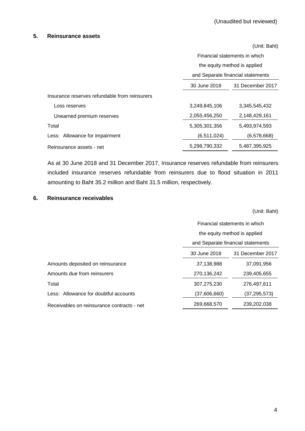#### **5. Reinsurance assets**

|                                               |               | (Unit: Baht)                      |  |  |  |
|-----------------------------------------------|---------------|-----------------------------------|--|--|--|
|                                               |               | Financial statements in which     |  |  |  |
|                                               |               | the equity method is applied      |  |  |  |
|                                               |               | and Separate financial statements |  |  |  |
|                                               | 30 June 2018  | 31 December 2017                  |  |  |  |
| Insurance reserves refundable from reinsurers |               |                                   |  |  |  |
| Loss reserves                                 | 3,249,845,106 | 3,345,545,432                     |  |  |  |
| Unearned premium reserves                     | 2,055,456,250 | 2,148,429,161                     |  |  |  |
| Total                                         | 5,305,301,356 | 5,493,974,593                     |  |  |  |
| Less: Allowance for impairment                | (6, 511, 024) | (6,578,668)                       |  |  |  |
| Reinsurance assets - net                      | 5,298,790,332 | 5,487,395,925                     |  |  |  |

As at 30 June 2018 and 31 December 2017, Insurance reserves refundable from reinsurers included insurance reserves refundable from reinsurers due to flood situation in 2011 amounting to Baht 35.2 million and Baht 31.5 million, respectively.

#### **6. Reinsurance receivables**

(Unit: Baht)

|                                            | Financial statements in which     |                  |  |  |
|--------------------------------------------|-----------------------------------|------------------|--|--|
|                                            | the equity method is applied      |                  |  |  |
|                                            | and Separate financial statements |                  |  |  |
|                                            | 30 June 2018                      | 31 December 2017 |  |  |
| Amounts deposited on reinsurance           | 37,138,988                        | 37,091,956       |  |  |
| Amounts due from reinsurers                | 270,136,242                       | 239,405,655      |  |  |
| Total                                      | 307,275,230                       | 276.497.611      |  |  |
| Less: Allowance for doubtful accounts      | (37,606,660)                      | (37,295,573)     |  |  |
| Receivables on reinsurance contracts - net | 269,668,570                       | 239,202,038      |  |  |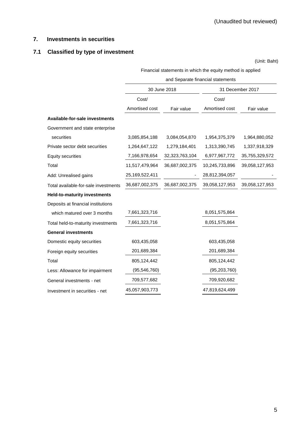## **7. Investments in securities**

## **7.1 Classified by type of investment**

(Unit: Baht)

Financial statements in which the equity method is applied

|                                      | and Separate financial statements |                |                  |                |  |  |
|--------------------------------------|-----------------------------------|----------------|------------------|----------------|--|--|
|                                      |                                   | 30 June 2018   | 31 December 2017 |                |  |  |
|                                      | Cost/                             |                | Cost/            |                |  |  |
|                                      | Amortised cost                    | Fair value     | Amortised cost   | Fair value     |  |  |
| Available-for-sale investments       |                                   |                |                  |                |  |  |
| Government and state enterprise      |                                   |                |                  |                |  |  |
| securities                           | 3,085,854,188                     | 3,084,054,870  | 1,954,375,379    | 1,964,880,052  |  |  |
| Private sector debt securities       | 1,264,647,122                     | 1,279,184,401  | 1,313,390,745    | 1,337,918,329  |  |  |
| <b>Equity securities</b>             | 7,166,978,654                     | 32,323,763,104 | 6,977,967,772    | 35,755,329,572 |  |  |
| Total                                | 11,517,479,964                    | 36,687,002,375 | 10,245,733,896   | 39,058,127,953 |  |  |
| Add: Unrealised gains                | 25,169,522,411                    |                | 28,812,394,057   |                |  |  |
| Total available-for-sale investments | 36,687,002,375                    | 36,687,002,375 | 39,058,127,953   | 39,058,127,953 |  |  |
| <b>Held-to-maturity investments</b>  |                                   |                |                  |                |  |  |
| Deposits at financial institutions   |                                   |                |                  |                |  |  |
| which matured over 3 months          | 7,661,323,716                     |                | 8,051,575,864    |                |  |  |
| Total held-to-maturity investments   | 7,661,323,716                     |                | 8,051,575,864    |                |  |  |
| <b>General investments</b>           |                                   |                |                  |                |  |  |
| Domestic equity securities           | 603,435,058                       |                | 603,435,058      |                |  |  |
| Foreign equity securities            | 201,689,384                       |                | 201,689,384      |                |  |  |
| Total                                | 805,124,442                       |                | 805,124,442      |                |  |  |
| Less: Allowance for impairment       | (95, 546, 760)                    |                | (95, 203, 760)   |                |  |  |
| General investments - net            | 709,577,682                       |                | 709,920,682      |                |  |  |
| Investment in securities - net       | 45,057,903,773                    |                | 47,819,624,499   |                |  |  |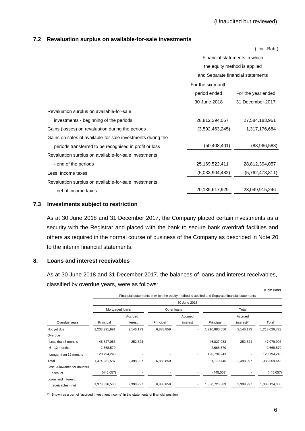#### **7.2 Revaluation surplus on available-for-sale investments**

|                                                             |                               | (Unit: Baht)                      |  |
|-------------------------------------------------------------|-------------------------------|-----------------------------------|--|
|                                                             | Financial statements in which |                                   |  |
|                                                             |                               | the equity method is applied      |  |
|                                                             |                               | and Separate financial statements |  |
|                                                             | For the six-month             |                                   |  |
|                                                             | period ended                  | For the year ended                |  |
|                                                             | 30 June 2018                  | 31 December 2017                  |  |
| Revaluation surplus on available-for-sale                   |                               |                                   |  |
| investments - beginning of the periods                      | 28,812,394,057                | 27,584,183,961                    |  |
| Gains (losses) on revaluation during the periods            | (3,592,463,245)               | 1,317,176,684                     |  |
| Gains on sales of available-for-sale investments during the |                               |                                   |  |
| periods transferred to be recognised in profit or loss      | (50, 408, 401)                | (88,966,588)                      |  |
| Revaluation surplus on available-for-sale investments       |                               |                                   |  |
| - end of the periods                                        | 25,169,522,411                | 28,812,394,057                    |  |
| Less: Income taxes                                          | (5,033,904,482)               | (5,762,478,811)                   |  |
| Revaluation surplus on available-for-sale investments       |                               |                                   |  |
| - net of income taxes                                       | 20,135,617,929                | 23,049,915,246                    |  |

#### **7.3 Investments subject to restriction**

As at 30 June 2018 and 31 December 2017, the Company placed certain investments as a security with the Registrar and placed with the bank to secure bank overdraft facilities and others as required in the normal course of business of the Company as described in Note 20 to the interim financial statements.

## **8. Loans and interest receivables**

As at 30 June 2018 and 31 December 2017, the balances of loans and interest receivables, classified by overdue years, were as follows: (Unit: Baht)

| 30 June 2018  |                     |                 |                     |               |                                      |                                                                                              |  |  |
|---------------|---------------------|-----------------|---------------------|---------------|--------------------------------------|----------------------------------------------------------------------------------------------|--|--|
|               |                     |                 | Other Ioans         |               | Total                                |                                                                                              |  |  |
| Principal     | Accrued<br>interest | Principal       | Accrued<br>interest | Principal     | Accrued<br>$interest$ <sup>(1)</sup> | Total                                                                                        |  |  |
| 1,203,991,691 | 2,146,173           | 6,888,859       |                     | 1,210,880,550 | 2,146,173                            | 1,213,026,723                                                                                |  |  |
|               |                     |                 |                     |               |                                      |                                                                                              |  |  |
| 46,827,083    | 252,824             |                 |                     | 46,827,083    | 252,824                              | 47,079,907                                                                                   |  |  |
| 2,668,570     |                     |                 |                     | 2,668,570     |                                      | 2,668,570                                                                                    |  |  |
| 120,794,243   |                     |                 |                     | 120,794,243   |                                      | 120,794,243                                                                                  |  |  |
| 1,374,281,587 | 2,398,997           | 6,888,859       |                     | 1,381,170,446 | 2,398,997                            | 1,383,569,443                                                                                |  |  |
|               |                     |                 |                     |               |                                      |                                                                                              |  |  |
| (445, 057)    |                     |                 |                     | (445, 057)    |                                      | (445, 057)                                                                                   |  |  |
|               |                     |                 |                     |               |                                      |                                                                                              |  |  |
| 1,373,836,530 | 2,398,997           | 6,888,859       |                     | 1,380,725,389 | 2,398,997                            | 1,383,124,386                                                                                |  |  |
|               |                     | Mortgaged loans |                     |               |                                      | Financial statements in which the equity method is applied and Separate financial statements |  |  |

(1) Shown as a part of "accrued investment income" in the statements of financial position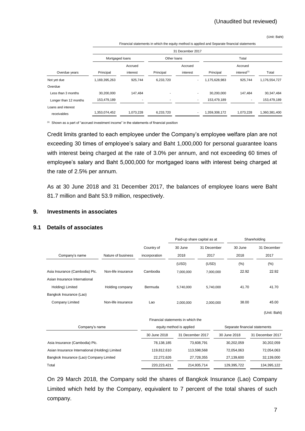(Unit: Baht)

|                       |                 | Financial statements in which the equity method is applied and Separate financial statements |             |          |               |                         |               |  |  |  |  |
|-----------------------|-----------------|----------------------------------------------------------------------------------------------|-------------|----------|---------------|-------------------------|---------------|--|--|--|--|
|                       |                 | 31 December 2017                                                                             |             |          |               |                         |               |  |  |  |  |
|                       | Mortgaged loans |                                                                                              | Other loans |          | Total         |                         |               |  |  |  |  |
|                       |                 | Accrued                                                                                      |             | Accrued  |               | Accrued                 |               |  |  |  |  |
| Overdue years         | Principal       | interest                                                                                     | Principal   | interest | Principal     | interest <sup>(1)</sup> | Total         |  |  |  |  |
| Not yet due           | 1,169,395,263   | 925,744                                                                                      | 6,233,720   |          | 1,175,628,983 | 925,744                 | 1,176,554,727 |  |  |  |  |
| Overdue               |                 |                                                                                              |             |          |               |                         |               |  |  |  |  |
| Less than 3 months    | 30,200,000      | 147.484                                                                                      |             |          | 30,200,000    | 147.484                 | 30,347,484    |  |  |  |  |
| Longer than 12 months | 153,479,189     | ۰                                                                                            |             |          | 153,479,189   |                         | 153,479,189   |  |  |  |  |
| Loans and interest    |                 |                                                                                              |             |          |               |                         |               |  |  |  |  |
| receivables           | 1,353,074,452   | 1,073,228                                                                                    | 6,233,720   |          | 1,359,308,172 | 1,073,228               | 1,360,381,400 |  |  |  |  |

(1) Shown as a part of "accrued investment income" in the statements of financial position

Credit limits granted to each employee under the Company's employee welfare plan are not exceeding 30 times of employee's salary and Baht 1,000,000 for personal guarantee loans with interest being charged at the rate of 3.0% per annum, and not exceeding 60 times of employee's salary and Baht 5,000,000 for mortgaged loans with interest being charged at the rate of 2.5% per annum.

As at 30 June 2018 and 31 December 2017, the balances of employee loans were Baht 81.7 million and Baht 53.9 million, respectively.

#### **9. Investments in associates**

#### **9.1 Details of associates**

|                                |                    |               | Paid-up share capital as at       |             |         | Shareholding                  |  |  |
|--------------------------------|--------------------|---------------|-----------------------------------|-------------|---------|-------------------------------|--|--|
|                                |                    | Country of    | 30 June                           | 31 December | 30 June | 31 December                   |  |  |
| Company's name                 | Nature of business | incorporation | 2018                              | 2017        | 2018    | 2017                          |  |  |
|                                |                    |               | (USD)                             | (USD)       | (%)     | (%)                           |  |  |
| Asia Insurance (Cambodia) Plc. | Non-life insurance | Cambodia      | 7,000,000                         | 7,000,000   | 22.92   | 22.92                         |  |  |
| Asian Insurance International  |                    |               |                                   |             |         |                               |  |  |
| Holding) Limited               | Holding company    | Bermuda       | 5,740,000                         | 5,740,000   | 41.70   | 41.70                         |  |  |
| Bangkok Insurance (Lao)        |                    |               |                                   |             |         |                               |  |  |
| Company Limited                | Non-life insurance | Lao           | 2,000,000                         | 2,000,000   | 38.00   | 45.00                         |  |  |
|                                |                    |               |                                   |             |         | (Unit: Baht)                  |  |  |
|                                |                    |               | Financial statements in which the |             |         |                               |  |  |
| Company's name                 |                    |               | equity method is applied          |             |         | Separate financial statements |  |  |

| Company's name                                  |              | equity method is applied | Separate financial statements |                  |  |
|-------------------------------------------------|--------------|--------------------------|-------------------------------|------------------|--|
|                                                 | 30 June 2018 | 31 December 2017         | 30 June 2018                  | 31 December 2017 |  |
| Asia Insurance (Cambodia) Plc.                  | 78,138,185   | 73.608.791               | 30.202.059                    | 30,202,059       |  |
| Asian Insurance International (Holding) Limited | 119.812.610  | 113.598.568              | 72.054.063                    | 72,054,063       |  |
| Bangkok Insurance (Lao) Company Limited         | 22.272.626   | 27.728.355               | 27.139.600                    | 32,139,000       |  |
| Total                                           | 220,223,421  | 214,935,714              | 129,395,722                   | 134,395,122      |  |

On 29 March 2018, the Company sold the shares of Bangkok Insurance (Lao) Company Limited which held by the Company, equivalent to 7 percent of the total shares of such company.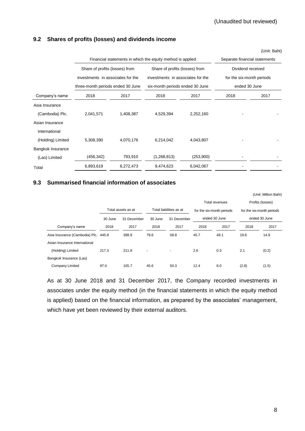### **9.2 Shares of profits (losses) and dividends income**

|                   | Financial statements in which the equity method is applied | Separate financial statements     |                                   |                                 |                           |      |
|-------------------|------------------------------------------------------------|-----------------------------------|-----------------------------------|---------------------------------|---------------------------|------|
|                   | Share of profits (losses) from                             |                                   | Share of profits (losses) from    |                                 | Dividend received         |      |
|                   | investments in associates for the                          |                                   | investments in associates for the |                                 | for the six-month periods |      |
|                   |                                                            | three-month periods ended 30 June |                                   | six-month periods ended 30 June | ended 30 June             |      |
| Company's name    | 2018                                                       | 2017                              | 2018                              | 2017                            | 2018                      | 2017 |
| Asia Insurance    |                                                            |                                   |                                   |                                 |                           |      |
| (Cambodia) Plc.   | 2,041,571                                                  | 1,408,387                         | 4,529,394                         | 2,252,160                       |                           |      |
| Asian Insurance   |                                                            |                                   |                                   |                                 |                           |      |
| International     |                                                            |                                   |                                   |                                 |                           |      |
| (Holding) Limited | 5,308,390                                                  | 4,070,176                         | 6,214,042                         | 4,043,807                       |                           |      |
| Bangkok Insurance |                                                            |                                   |                                   |                                 |                           |      |
| (Lao) Limited     | (456, 342)                                                 | 793,910                           | (1,268,813)                       | (253,900)                       |                           |      |
| Total             | 6,893,619                                                  | 6,272,473                         | 9,474,623                         | 6,042,067                       |                           |      |

### **9.3 Summarised financial information of associates**

|                                |         |                    |                          |                                                      |      |                |                           | (Unit: Million Baht) |
|--------------------------------|---------|--------------------|--------------------------|------------------------------------------------------|------|----------------|---------------------------|----------------------|
|                                |         |                    |                          |                                                      |      | Total revenues |                           | Profits (losses)     |
|                                |         | Total assets as at |                          | Total liabilities as at<br>for the six-month periods |      |                | for the six-month periods |                      |
|                                | 30 June | 31 December        | 30 June                  | 31 December                                          |      | ended 30 June  |                           | ended 30 June        |
| Company's name                 | 2018    | 2017               | 2018                     | 2017                                                 | 2018 | 2017           | 2018                      | 2017                 |
| Asia Insurance (Cambodia) Plc. | 445.8   | 398.9              | 79.6                     | 58.8                                                 | 45.7 | 48.1           | 19.8                      | 14.9                 |
| Asian Insurance International  |         |                    |                          |                                                      |      |                |                           |                      |
| (Holding) Limited              | 217.3   | 211.9              | $\overline{\phantom{0}}$ | $\overline{\phantom{0}}$                             | 2.6  | 0.3            | 2.1                       | (0.2)                |
| Bangkok Insurance (Lao)        |         |                    |                          |                                                      |      |                |                           |                      |
| Company Limited                | 97.0    | 105.7              | 45.6                     | 50.3                                                 | 12.4 | 8.0            | (2.8)                     | (1.5)                |

As at 30 June 2018 and 31 December 2017, the Company recorded investments in associates under the equity method (in the financial statements in which the equity method is applied) based on the financial information, as prepared by the associates' management, which have yet been reviewed by their external auditors.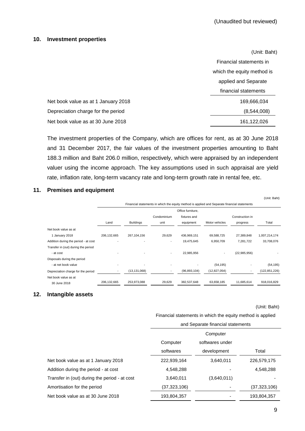#### **10. Investment properties**

|                                     | (Unit: Baht)               |
|-------------------------------------|----------------------------|
|                                     | Financial statements in    |
|                                     | which the equity method is |
|                                     | applied and Separate       |
|                                     | financial statements       |
| Net book value as at 1 January 2018 | 169,666,034                |
| Depreciation charge for the period  | (8,544,008)                |
| Net book value as at 30 June 2018   | 161,122,026                |

The investment properties of the Company, which are offices for rent, as at 30 June 2018 and 31 December 2017, the fair values of the investment properties amounting to Baht 188.3 million and Baht 206.0 million, respectively, which were appraised by an independent valuer using the income approach. The key assumptions used in such appraisal are yield rate, inflation rate, long-term vacancy rate and long-term growth rate in rental fee, etc.

### **11. Premises and equipment**

|                                      |             |                  |                          |                   |                                                                                              |                 | 19.1111.1511.11 |
|--------------------------------------|-------------|------------------|--------------------------|-------------------|----------------------------------------------------------------------------------------------|-----------------|-----------------|
|                                      |             |                  |                          |                   | Financial statements in which the equity method is applied and Separate financial statements |                 |                 |
|                                      |             |                  |                          | Office furniture, |                                                                                              |                 |                 |
|                                      |             |                  | Condominium              | fixtures and      |                                                                                              | Construction in |                 |
|                                      | Land        | <b>Buildings</b> | unit                     | equipment         | Motor vehicles                                                                               | progress        | Total           |
| Net book value as at                 |             |                  |                          |                   |                                                                                              |                 |                 |
| 1 January 2018                       | 206,132,665 | 267,104,156      | 29,629                   | 436,969,151       | 69,588,725                                                                                   | 27,389,848      | 1,007,214,174   |
| Addition during the period - at cost |             |                  |                          | 19,475,645        | 6,950,709                                                                                    | 7,281,722       | 33,708,076      |
| Transfer in (out) during the period  |             |                  |                          |                   |                                                                                              |                 |                 |
| - at cost                            |             |                  | $\overline{\phantom{a}}$ | 22,985,956        |                                                                                              | (22,985,956)    |                 |
| Disposals during the period          |             |                  |                          |                   |                                                                                              |                 |                 |
| - at net book value                  |             |                  |                          | ٠                 | (54, 195)                                                                                    |                 | (54, 195)       |
| Depreciation charge for the period   |             | (13,131,068)     |                          | (96, 893, 104)    | (12, 827, 054)                                                                               | ۰               | (122, 851, 226) |
| Net book value as at                 |             |                  |                          |                   |                                                                                              |                 |                 |
| 30 June 2018                         | 206,132,665 | 253,973,088      | 29,629                   | 382,537,648       | 63,658,185                                                                                   | 11,685,614      | 918,016,829     |

#### **12. Intangible assets**

(Unit: Baht)

(Unit: Baht)

# Financial statements in which the equity method is applied

|                                               | and Separate financial statements |                 |              |  |  |  |
|-----------------------------------------------|-----------------------------------|-----------------|--------------|--|--|--|
|                                               |                                   | Computer        |              |  |  |  |
|                                               | Computer                          | softwares under |              |  |  |  |
|                                               | softwares                         | development     | Total        |  |  |  |
| Net book value as at 1 January 2018           | 222,939,164                       | 3,640,011       | 226,579,175  |  |  |  |
| Addition during the period - at cost          | 4.548.288                         |                 | 4,548,288    |  |  |  |
| Transfer in (out) during the period - at cost | 3,640,011                         | (3,640,011)     |              |  |  |  |
| Amortisation for the period                   | (37,323,106)                      |                 | (37,323,106) |  |  |  |
| Net book value as at 30 June 2018             | 193.804.357                       |                 | 193,804,357  |  |  |  |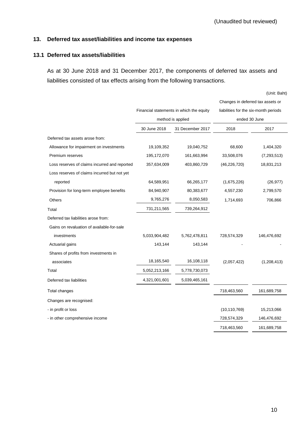#### **13. Deferred tax asset/liabilities and income tax expenses**

#### **13.1 Deferred tax assets/liabilities**

As at 30 June 2018 and 31 December 2017, the components of deferred tax assets and liabilities consisted of tax effects arising from the following transactions.

(Unit: Baht) Financial statements in which the equity method is applied Changes in deferred tax assets or liabilities for the six-month periods ended 30 June 30 June 2018 31 December 2017 2018 2017 Deferred tax assets arose from: Allowance for impairment on investments 19,109,352 19,040,752 68,600 1,404,320 Premium reserves 195,172,070 161,663,994 33,508,076 (7,293,513) Loss reserves of claims incurred and reported 357,634,009 403,860,729 (46,226,720) 18,831,213 Loss reserves of claims incurred but not yet reported 64,589,951 66,265,177 (1,675,226) (26,977) Provision for long-term employee benefits 84,940,907 80,383,677 4,557,230 2,799,570 Others 9,765,276 8,050,583 1,714,693 706,866 Total 731,211,565 739,264,912 Deferred tax liabilities arose from: Gains on revaluation of available-for-sale investments 5,033,904,482 5,762,478,811 728,574,329 146,476,692 Actuarial gains 143,144 143,144 143,144 Shares of profits from investments in associates 18,165,540 16,108,118 (2,057,422) (1,208,413) Total 5,052,213,166 5,778,730,073 Deferred tax liabilities 4,321,001,601 5,039,465,161 Total changes 718,463,560 161,689,758 Changes are recognised: - in profit or loss (10,110,769) 15,213,066 - in other comprehensive income 728,574,329 146,476,692 718,463,560 161,689,758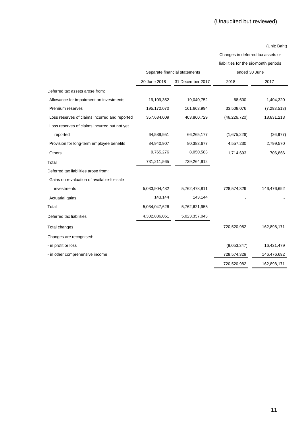Changes in deferred tax assets or

liabilities for the six-month periods

|               |                  | ended 30 June                 |               |  |
|---------------|------------------|-------------------------------|---------------|--|
| 30 June 2018  | 31 December 2017 | 2018                          | 2017          |  |
|               |                  |                               |               |  |
| 19,109,352    | 19,040,752       | 68,600                        | 1,404,320     |  |
| 195, 172, 070 | 161,663,994      | 33,508,076                    | (7, 293, 513) |  |
| 357,634,009   | 403,860,729      | (46, 226, 720)                | 18,831,213    |  |
|               |                  |                               |               |  |
| 64,589,951    | 66,265,177       | (1,675,226)                   | (26, 977)     |  |
| 84,940,907    | 80,383,677       | 4,557,230                     | 2,799,570     |  |
| 9,765,276     | 8,050,583        | 1,714,693                     | 706,866       |  |
| 731,211,565   | 739,264,912      |                               |               |  |
|               |                  |                               |               |  |
|               |                  |                               |               |  |
| 5,033,904,482 | 5,762,478,811    | 728,574,329                   | 146,476,692   |  |
| 143,144       | 143,144          |                               |               |  |
| 5,034,047,626 | 5,762,621,955    |                               |               |  |
| 4,302,836,061 | 5,023,357,043    |                               |               |  |
|               |                  | 720,520,982                   | 162,898,171   |  |
|               |                  |                               |               |  |
|               |                  | (8,053,347)                   | 16,421,479    |  |
|               |                  | 728,574,329                   | 146,476,692   |  |
|               |                  | 720,520,982                   | 162,898,171   |  |
|               |                  | Separate financial statements |               |  |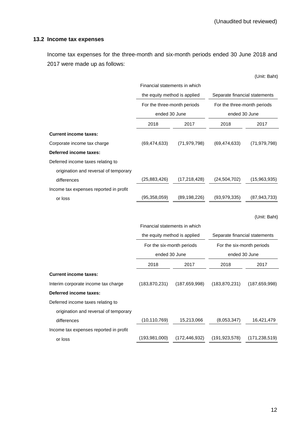## **13.2 Income tax expenses**

Income tax expenses for the three-month and six-month periods ended 30 June 2018 and 2017 were made up as follows:

|                                        |                               |                 |                               | (Unit: Baht)    |  |
|----------------------------------------|-------------------------------|-----------------|-------------------------------|-----------------|--|
|                                        | Financial statements in which |                 |                               |                 |  |
|                                        | the equity method is applied  |                 | Separate financial statements |                 |  |
|                                        | For the three-month periods   |                 | For the three-month periods   |                 |  |
|                                        | ended 30 June                 |                 | ended 30 June                 |                 |  |
|                                        | 2018                          | 2017            | 2018                          | 2017            |  |
| <b>Current income taxes:</b>           |                               |                 |                               |                 |  |
| Corporate income tax charge            | (69, 474, 633)                | (71, 979, 798)  | (69, 474, 633)                | (71, 979, 798)  |  |
| Deferred income taxes:                 |                               |                 |                               |                 |  |
| Deferred income taxes relating to      |                               |                 |                               |                 |  |
| origination and reversal of temporary  |                               |                 |                               |                 |  |
| differences                            | (25,883,426)                  | (17, 218, 428)  | (24, 504, 702)                | (15,963,935)    |  |
| Income tax expenses reported in profit |                               |                 |                               |                 |  |
| or loss                                | (95, 358, 059)                | (89, 198, 226)  | (93, 979, 335)                | (87, 943, 733)  |  |
|                                        |                               |                 |                               |                 |  |
|                                        |                               |                 |                               | (Unit: Baht)    |  |
|                                        | Financial statements in which |                 |                               |                 |  |
|                                        | the equity method is applied  |                 | Separate financial statements |                 |  |
|                                        | For the six-month periods     |                 | For the six-month periods     |                 |  |
|                                        | ended 30 June                 |                 | ended 30 June                 |                 |  |
|                                        | 2018                          | 2017            | 2018                          | 2017            |  |
| <b>Current income taxes:</b>           |                               |                 |                               |                 |  |
| Interim corporate income tax charge    | (183, 870, 231)               | (187, 659, 998) | (183, 870, 231)               | (187, 659, 998) |  |
| Deferred income taxes:                 |                               |                 |                               |                 |  |
| Deferred income taxes relating to      |                               |                 |                               |                 |  |
| origination and reversal of temporary  |                               |                 |                               |                 |  |
| differences                            | (10, 110, 769)                | 15,213,066      | (8,053,347)                   | 16,421,479      |  |
| Income tax expenses reported in profit |                               |                 |                               |                 |  |
| or loss                                | (193, 981, 000)               | (172, 446, 932) | (191, 923, 578)               | (171, 238, 519) |  |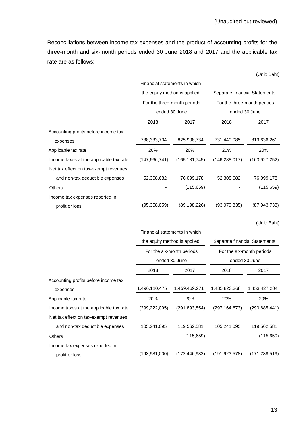Reconciliations between income tax expenses and the product of accounting profits for the three-month and six-month periods ended 30 June 2018 and 2017 and the applicable tax rate are as follows:

(Unit: Baht)

|                                         | Financial statements in which |                             |                               |                 |  |
|-----------------------------------------|-------------------------------|-----------------------------|-------------------------------|-----------------|--|
|                                         | the equity method is applied  |                             | Separate financial Statements |                 |  |
|                                         |                               | For the three-month periods | For the three-month periods   |                 |  |
|                                         | ended 30 June                 |                             | ended 30 June                 |                 |  |
|                                         | 2018<br>2017                  |                             | 2018                          | 2017            |  |
| Accounting profits before income tax    |                               |                             |                               |                 |  |
| expenses                                | 738,333,704                   | 825,908,734                 | 731,440,085                   | 819,636,261     |  |
| Applicable tax rate                     | 20%                           | 20%                         | 20%                           | 20%             |  |
| Income taxes at the applicable tax rate | (147, 666, 741)               | (165, 181, 745)             | (146, 288, 017)               | (163, 927, 252) |  |
| Net tax effect on tax-exempt revenues   |                               |                             |                               |                 |  |
| and non-tax deductible expenses         | 52,308,682                    | 76,099,178                  | 52,308,682                    | 76,099,178      |  |
| <b>Others</b>                           |                               | (115, 659)                  |                               | (115, 659)      |  |
| Income tax expenses reported in         |                               |                             |                               |                 |  |
| profit or loss                          | (95,358,059)                  | (89, 198, 226)              | (93, 979, 335)                | (87, 943, 733)  |  |
|                                         |                               |                             |                               |                 |  |

(Unit: Baht)

|                                         | Financial statements in which |                           |                               |                 |  |  |  |
|-----------------------------------------|-------------------------------|---------------------------|-------------------------------|-----------------|--|--|--|
|                                         | the equity method is applied  |                           | Separate financial Statements |                 |  |  |  |
|                                         |                               | For the six-month periods | For the six-month periods     |                 |  |  |  |
|                                         |                               | ended 30 June             | ended 30 June                 |                 |  |  |  |
|                                         | 2018                          | 2017                      | 2018                          | 2017            |  |  |  |
| Accounting profits before income tax    |                               |                           |                               |                 |  |  |  |
| expenses                                | 1,496,110,475                 | 1,459,469,271             | 1,485,823,368                 | 1,453,427,204   |  |  |  |
| Applicable tax rate                     | 20%                           | 20%                       | 20%                           | 20%             |  |  |  |
| Income taxes at the applicable tax rate | (299, 222, 095)               | (291, 893, 854)           | (297, 164, 673)               | (290, 685, 441) |  |  |  |
| Net tax effect on tax-exempt revenues   |                               |                           |                               |                 |  |  |  |
| and non-tax deductible expenses         | 105,241,095                   | 119,562,581               | 105,241,095                   | 119,562,581     |  |  |  |
| <b>Others</b>                           |                               | (115, 659)                |                               | (115, 659)      |  |  |  |
| Income tax expenses reported in         |                               |                           |                               |                 |  |  |  |
| profit or loss                          | (193,981,000)                 | (172, 446, 932)           | (191, 923, 578)               | (171, 238, 519) |  |  |  |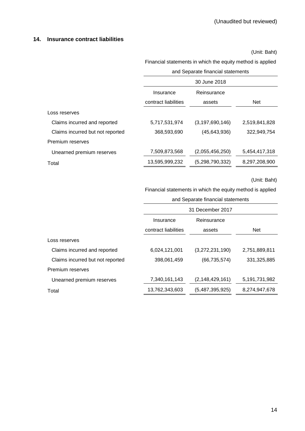#### **14. Insurance contract liabilities**

(Unit: Baht)

Financial statements in which the equity method is applied

and Separate financial statements

|                                  | 30 June 2018         |                    |               |  |  |  |
|----------------------------------|----------------------|--------------------|---------------|--|--|--|
|                                  | Insurance            | Reinsurance        |               |  |  |  |
|                                  | contract liabilities | assets             | <b>Net</b>    |  |  |  |
| Loss reserves                    |                      |                    |               |  |  |  |
| Claims incurred and reported     | 5,717,531,974        | (3, 197, 690, 146) | 2,519,841,828 |  |  |  |
| Claims incurred but not reported | 368,593,690          | (45, 643, 936)     | 322,949,754   |  |  |  |
| Premium reserves                 |                      |                    |               |  |  |  |
| Unearned premium reserves        | 7,509,873,568        | (2,055,456,250)    | 5,454,417,318 |  |  |  |
| Total                            | 13,595,999,232       | (5,298,790,332)    | 8,297,208,900 |  |  |  |

(Unit: Baht)

Financial statements in which the equity method is applied

and Separate financial statements

|                                  | 31 December 2017     |                    |               |  |  |
|----------------------------------|----------------------|--------------------|---------------|--|--|
|                                  | Insurance            | Reinsurance        |               |  |  |
|                                  | contract liabilities | assets             | <b>Net</b>    |  |  |
| Loss reserves                    |                      |                    |               |  |  |
| Claims incurred and reported     | 6,024,121,001        | (3,272,231,190)    | 2,751,889,811 |  |  |
| Claims incurred but not reported | 398,061,459          | (66, 735, 574)     | 331,325,885   |  |  |
| Premium reserves                 |                      |                    |               |  |  |
| Unearned premium reserves        | 7,340,161,143        | (2, 148, 429, 161) | 5,191,731,982 |  |  |
| Total                            | 13,762,343,603       | (5,487,395,925)    | 8,274,947,678 |  |  |
|                                  |                      |                    |               |  |  |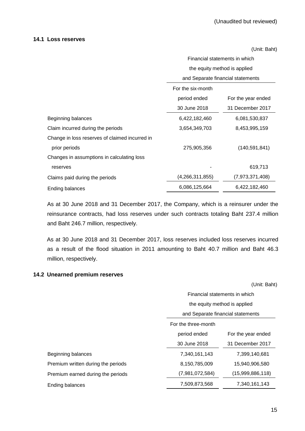#### **14.1 Loss reserves**

(Unit: Baht)

|                                                | Financial statements in which     |                    |  |  |  |  |
|------------------------------------------------|-----------------------------------|--------------------|--|--|--|--|
|                                                | the equity method is applied      |                    |  |  |  |  |
|                                                | and Separate financial statements |                    |  |  |  |  |
|                                                | For the six-month                 |                    |  |  |  |  |
|                                                | period ended                      | For the year ended |  |  |  |  |
|                                                | 30 June 2018<br>31 December 2017  |                    |  |  |  |  |
| Beginning balances                             | 6,422,182,460                     | 6,081,530,837      |  |  |  |  |
| Claim incurred during the periods              | 3,654,349,703                     | 8,453,995,159      |  |  |  |  |
| Change in loss reserves of claimed incurred in |                                   |                    |  |  |  |  |
| prior periods                                  | 275,905,356                       | (140, 591, 841)    |  |  |  |  |
| Changes in assumptions in calculating loss     |                                   |                    |  |  |  |  |
| reserves                                       |                                   | 619,713            |  |  |  |  |
| Claims paid during the periods                 | (4,266,311,855)                   | (7,973,371,408)    |  |  |  |  |
| Ending balances                                | 6,086,125,664                     | 6,422,182,460      |  |  |  |  |

As at 30 June 2018 and 31 December 2017, the Company, which is a reinsurer under the reinsurance contracts, had loss reserves under such contracts totaling Baht 237.4 million and Baht 246.7 million, respectively.

As at 30 June 2018 and 31 December 2017, loss reserves included loss reserves incurred as a result of the flood situation in 2011 amounting to Baht 40.7 million and Baht 46.3 million, respectively.

#### **14.2 Unearned premium reserves**

(Unit: Baht)

|                                    | Financial statements in which     |                    |  |  |  |
|------------------------------------|-----------------------------------|--------------------|--|--|--|
|                                    | the equity method is applied      |                    |  |  |  |
|                                    | and Separate financial statements |                    |  |  |  |
|                                    | For the three-month               |                    |  |  |  |
|                                    | period ended                      | For the year ended |  |  |  |
|                                    | 30 June 2018<br>31 December 2017  |                    |  |  |  |
| Beginning balances                 | 7,340,161,143                     | 7,399,140,681      |  |  |  |
| Premium written during the periods | 8,150,785,009                     | 15,940,906,580     |  |  |  |
| Premium earned during the periods  | (7,981,072,584)                   | (15,999,886,118)   |  |  |  |
| Ending balances                    | 7,509,873,568                     | 7.340.161.143      |  |  |  |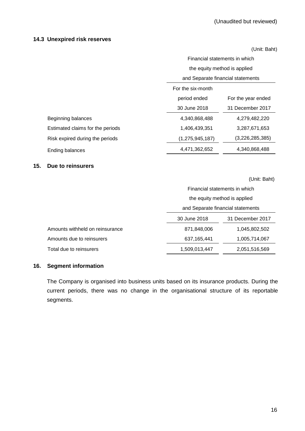#### **14.3 Unexpired risk reserves**

(Unit: Baht)

|                                  |                                   | Financial statements in which |  |  |  |
|----------------------------------|-----------------------------------|-------------------------------|--|--|--|
|                                  | the equity method is applied      |                               |  |  |  |
|                                  | and Separate financial statements |                               |  |  |  |
|                                  | For the six-month                 |                               |  |  |  |
|                                  | period ended                      | For the year ended            |  |  |  |
|                                  | 30 June 2018<br>31 December 2017  |                               |  |  |  |
| Beginning balances               | 4,340,868,488                     | 4,279,482,220                 |  |  |  |
| Estimated claims for the periods | 1,406,439,351                     | 3,287,671,653                 |  |  |  |
| Risk expired during the periods  | (1, 275, 945, 187)                | (3,226,285,385)               |  |  |  |
| Ending balances                  | 4,471,362,652                     | 4,340,868,488                 |  |  |  |

#### **15. Due to reinsurers**

(Unit: Baht) Financial statements in which the equity method is applied and Separate financial statements 30 June 2018 31 December 2017 Amounts withheld on reinsurance 871,848,006 1,045,802,502 Amounts due to reinsurers 637,165,441 1,005,714,067 Total due to reinsurers 1,509,013,447 2,051,516,569

#### **16. Segment information**

The Company is organised into business units based on its insurance products. During the current periods, there was no change in the organisational structure of its reportable segments.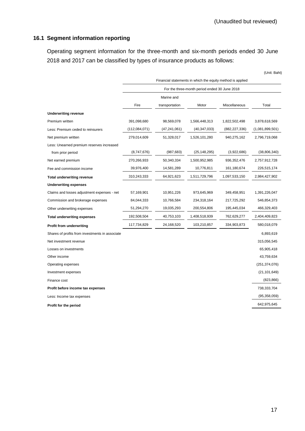## **16.1 Segment information reporting**

Operating segment information for the three-month and six-month periods ended 30 June 2018 and 2017 can be classified by types of insurance products as follows:

|                                                 | Financial statements in which the equity method is applied |                |                                               |                 |                 |
|-------------------------------------------------|------------------------------------------------------------|----------------|-----------------------------------------------|-----------------|-----------------|
|                                                 |                                                            |                | For the three-month period ended 30 June 2018 |                 |                 |
|                                                 |                                                            | Marine and     |                                               |                 |                 |
|                                                 | Fire                                                       | transportation | Motor                                         | Miscellaneous   | Total           |
| <b>Underwriting revenue</b>                     |                                                            |                |                                               |                 |                 |
| Premium written                                 | 391,098,680                                                | 98,569,078     | 1,566,448,313                                 | 1,822,502,498   | 3,878,618,569   |
| Less: Premium ceded to reinsurers               | (112,084,071)                                              | (47,241,061)   | (40, 347, 033)                                | (882, 227, 336) | (1,081,899,501) |
| Net premium written                             | 279,014,609                                                | 51,328,017     | 1,526,101,280                                 | 940,275,162     | 2,796,719,068   |
| Less: Unearned premium reserves increased       |                                                            |                |                                               |                 |                 |
| from prior period                               | (8,747,676)                                                | (987, 683)     | (25, 148, 295)                                | (3,922,686)     | (38, 806, 340)  |
| Net earned premium                              | 270,266,933                                                | 50,340,334     | 1,500,952,985                                 | 936, 352, 476   | 2,757,912,728   |
| Fee and commission income                       | 39,976,400                                                 | 14,581,289     | 10,776,811                                    | 161,180,674     | 226,515,174     |
| <b>Total underwriting revenue</b>               | 310,243,333                                                | 64,921,623     | 1,511,729,796                                 | 1,097,533,150   | 2,984,427,902   |
| <b>Underwriting expenses</b>                    |                                                            |                |                                               |                 |                 |
| Claims and losses adjustment expenses - net     | 57,169,901                                                 | 10,951,226     | 973,645,969                                   | 349,458,951     | 1,391,226,047   |
| Commission and brokerage expenses               | 84,044,333                                                 | 10,766,584     | 234,318,164                                   | 217,725,292     | 546,854,373     |
| Other underwriting expenses                     | 51,294,270                                                 | 19,035,293     | 200,554,806                                   | 195,445,034     | 466,329,403     |
| <b>Total underwriting expenses</b>              | 192,508,504                                                | 40,753,103     | 1,408,518,939                                 | 762,629,277     | 2,404,409,823   |
| <b>Profit from underwriting</b>                 | 117,734,829                                                | 24,168,520     | 103,210,857                                   | 334,903,873     | 580,018,079     |
| Shares of profits from investments in associate |                                                            |                |                                               |                 | 6,893,619       |
| Net investment revenue                          |                                                            |                |                                               |                 | 315,056,545     |
| Losses on investments                           |                                                            |                |                                               |                 | 65,905,418      |
| Other income                                    |                                                            |                |                                               |                 | 43,759,634      |
| Operating expenses                              |                                                            |                |                                               |                 | (251, 374, 076) |
| Investment expenses                             |                                                            |                |                                               |                 | (21, 101, 649)  |
| Finance cost                                    |                                                            |                |                                               |                 | (823, 866)      |
| Profit before income tax expenses               |                                                            |                |                                               |                 | 738,333,704     |
| Less: Income tax expenses                       |                                                            |                |                                               |                 | (95, 358, 059)  |
| Profit for the period                           |                                                            |                |                                               |                 | 642,975,645     |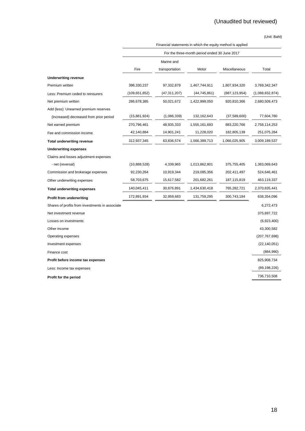|                                                 | Financial statements in which the equity method is applied |                |                                               |                 |                 |  |
|-------------------------------------------------|------------------------------------------------------------|----------------|-----------------------------------------------|-----------------|-----------------|--|
|                                                 |                                                            |                | For the three-month period ended 30 June 2017 |                 |                 |  |
|                                                 |                                                            | Marine and     |                                               |                 |                 |  |
|                                                 | Fire                                                       | transportation | Motor                                         | Miscellaneous   | Total           |  |
| <b>Underwriting revenue</b>                     |                                                            |                |                                               |                 |                 |  |
| Premium written                                 | 396,330,237                                                | 97,332,879     | 1,467,744,911                                 | 1,807,934,320   | 3,769,342,347   |  |
| Less: Premium ceded to reinsurers               | (109, 651, 852)                                            | (47, 311, 207) | (44, 745, 861)                                | (887, 123, 954) | (1,088,832,874) |  |
| Net premium written                             | 286,678,385                                                | 50,021,672     | 1,422,999,050                                 | 920,810,366     | 2,680,509,473   |  |
| Add (less): Unearned premium reserves           |                                                            |                |                                               |                 |                 |  |
| (increased) decreased from prior period         | (15,881,924)                                               | (1,086,339)    | 132, 162, 643                                 | (37,589,600)    | 77,604,780      |  |
| Net earned premium                              | 270,796,461                                                | 48,935,333     | 1,555,161,693                                 | 883,220,766     | 2,758,114,253   |  |
| Fee and commission income                       | 42,140,884                                                 | 14,901,241     | 11,228,020                                    | 182,805,139     | 251,075,284     |  |
| <b>Total underwriting revenue</b>               | 312,937,345                                                | 63,836,574     | 1,566,389,713                                 | 1,066,025,905   | 3,009,189,537   |  |
| <b>Underwriting expenses</b>                    |                                                            |                |                                               |                 |                 |  |
| Claims and losses adjustment expenses           |                                                            |                |                                               |                 |                 |  |
| - net (reversal)                                | (10,888,528)                                               | 4,339,965      | 1,013,862,801                                 | 375,755,405     | 1,383,069,643   |  |
| Commission and brokerage expenses               | 92,230,264                                                 | 10,919,344     | 219,085,356                                   | 202,411,497     | 524,646,461     |  |
| Other underwriting expenses                     | 58,703,675                                                 | 15,617,582     | 201,682,261                                   | 187,115,819     | 463,119,337     |  |
| <b>Total underwriting expenses</b>              | 140,045,411                                                | 30,876,891     | 1,434,630,418                                 | 765,282,721     | 2,370,835,441   |  |
| <b>Profit from underwriting</b>                 | 172,891,934                                                | 32,959,683     | 131,759,295                                   | 300,743,184     | 638,354,096     |  |
| Shares of profits from investments in associate |                                                            |                |                                               |                 | 6,272,473       |  |
| Net investment revenue                          |                                                            |                |                                               |                 | 375,697,722     |  |
| Losses on investments                           |                                                            |                |                                               |                 | (6,923,400)     |  |
| Other income                                    |                                                            |                |                                               |                 | 43,300,582      |  |
| Operating expenses                              |                                                            |                |                                               |                 | (207, 767, 698) |  |
| Investment expenses                             |                                                            |                |                                               |                 | (22, 140, 051)  |  |
| Finance cost                                    |                                                            |                |                                               |                 | (884,990)       |  |
| Profit before income tax expenses               |                                                            |                |                                               |                 | 825,908,734     |  |
| Less: Income tax expenses                       |                                                            |                |                                               |                 | (89, 198, 226)  |  |
| Profit for the period                           |                                                            |                |                                               |                 | 736,710,508     |  |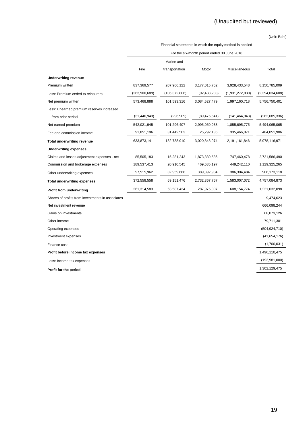|                                                  | Financial statements in which the equity method is applied |                |                                             |                 |                 |  |
|--------------------------------------------------|------------------------------------------------------------|----------------|---------------------------------------------|-----------------|-----------------|--|
|                                                  |                                                            |                | For the six-month period ended 30 June 2018 |                 |                 |  |
|                                                  |                                                            | Marine and     |                                             |                 |                 |  |
|                                                  | Fire                                                       | transportation | Motor                                       | Miscellaneous   | Total           |  |
| <b>Underwriting revenue</b>                      |                                                            |                |                                             |                 |                 |  |
| Premium written                                  | 837,369,577                                                | 207,966,122    | 3,177,015,762                               | 3,928,433,548   | 8,150,785,009   |  |
| Less: Premium ceded to reinsurers                | (263,900,689)                                              | (106,372,806)  | (92, 488, 283)                              | (1,931,272,830) | (2,394,034,608) |  |
| Net premium written                              | 573,468,888                                                | 101,593,316    | 3,084,527,479                               | 1,997,160,718   | 5,756,750,401   |  |
| Less: Unearned premium reserves increased        |                                                            |                |                                             |                 |                 |  |
| from prior period                                | (31, 446, 943)                                             | (296, 909)     | (89, 476, 541)                              | (141, 464, 943) | (262, 685, 336) |  |
| Net earned premium                               | 542,021,945                                                | 101,296,407    | 2,995,050,938                               | 1,855,695,775   | 5,494,065,065   |  |
| Fee and commission income                        | 91,851,196                                                 | 31,442,503     | 25,292,136                                  | 335,466,071     | 484,051,906     |  |
| <b>Total underwriting revenue</b>                | 633,873,141                                                | 132,738,910    | 3,020,343,074                               | 2,191,161,846   | 5,978,116,971   |  |
| Underwriting expenses                            |                                                            |                |                                             |                 |                 |  |
| Claims and losses adjustment expenses - net      | 85,505,183                                                 | 15,281,243     | 1,873,339,586                               | 747,460,478     | 2,721,586,490   |  |
| Commission and brokerage expenses                | 189,537,413                                                | 20,910,545     | 469,635,197                                 | 449,242,110     | 1,129,325,265   |  |
| Other underwriting expenses                      | 97,515,962                                                 | 32,959,688     | 389,392,984                                 | 386,304,484     | 906, 173, 118   |  |
| <b>Total underwriting expenses</b>               | 372,558,558                                                | 69,151,476     | 2,732,367,767                               | 1,583,007,072   | 4,757,084,873   |  |
| Profit from underwriting                         | 261,314,583                                                | 63,587,434     | 287,975,307                                 | 608, 154, 774   | 1,221,032,098   |  |
| Shares of profits from investments in associates |                                                            |                |                                             |                 | 9,474,623       |  |
| Net investment revenue                           |                                                            |                |                                             |                 | 666,098,244     |  |
| Gains on investments                             |                                                            |                |                                             |                 | 68,073,126      |  |
| Other income                                     |                                                            |                |                                             |                 | 79,711,301      |  |
| Operating expenses                               |                                                            |                |                                             |                 | (504, 924, 710) |  |
| Investment expenses                              |                                                            |                |                                             |                 | (41, 654, 176)  |  |
| Finance cost                                     |                                                            |                |                                             |                 | (1,700,031)     |  |
| Profit before income tax expenses                |                                                            |                |                                             |                 | 1,496,110,475   |  |
| Less: Income tax expenses                        |                                                            |                |                                             |                 | (193, 981, 000) |  |
| Profit for the period                            |                                                            |                |                                             |                 | 1,302,129,475   |  |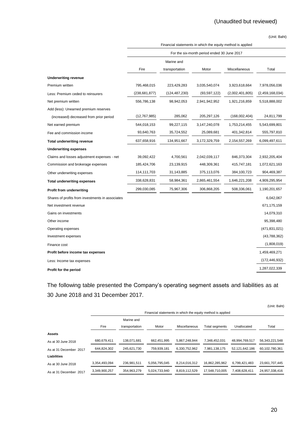|                                                  | Financial statements in which the equity method is applied |                |                                             |                 |                 |  |
|--------------------------------------------------|------------------------------------------------------------|----------------|---------------------------------------------|-----------------|-----------------|--|
|                                                  |                                                            |                | For the six-month period ended 30 June 2017 |                 |                 |  |
|                                                  |                                                            | Marine and     |                                             |                 |                 |  |
|                                                  | Fire                                                       | transportation | Motor                                       | Miscellaneous   | Total           |  |
| <b>Underwriting revenue</b>                      |                                                            |                |                                             |                 |                 |  |
| Premium written                                  | 795,468,015                                                | 223,429,283    | 3,035,540,074                               | 3,923,618,664   | 7,978,056,036   |  |
| Less: Premium ceded to reinsurers                | (238,681,877)                                              | (124,487,230)  | (93,597,122)                                | (2,002,401,805) | (2,459,168,034) |  |
| Net premium written                              | 556,786,138                                                | 98,942,053     | 2,941,942,952                               | 1,921,216,859   | 5,518,888,002   |  |
| Add (less): Unearned premium reserves            |                                                            |                |                                             |                 |                 |  |
| (increased) decreased from prior period          | (12, 767, 985)                                             | 285,062        | 205,297,126                                 | (168,002,404)   | 24,811,799      |  |
| Net earned premium                               | 544,018,153                                                | 99,227,115     | 3,147,240,078                               | 1,753,214,455   | 5,543,699,801   |  |
| Fee and commission income                        | 93,640,763                                                 | 35,724,552     | 25,089,681                                  | 401,342,814     | 555,797,810     |  |
| <b>Total underwriting revenue</b>                | 637,658,916                                                | 134,951,667    | 3,172,329,759                               | 2,154,557,269   | 6,099,497,611   |  |
| <b>Underwriting expenses</b>                     |                                                            |                |                                             |                 |                 |  |
| Claims and losses adjustment expenses - net      | 39,092,422                                                 | 4,700,561      | 2,042,039,117                               | 846,373,304     | 2,932,205,404   |  |
| Commission and brokerage expenses                | 185,424,706                                                | 23,139,915     | 448,309,361                                 | 415,747,181     | 1,072,621,163   |  |
| Other underwriting expenses                      | 114,111,703                                                | 31,143,885     | 375,113,076                                 | 384,100,723     | 904,469,387     |  |
| <b>Total underwriting expenses</b>               | 338,628,831                                                | 58,984,361     | 2,865,461,554                               | 1,646,221,208   | 4,909,295,954   |  |
| <b>Profit from underwriting</b>                  | 299,030,085                                                | 75,967,306     | 306,868,205                                 | 508,336,061     | 1,190,201,657   |  |
| Shares of profits from investments in associates |                                                            |                |                                             |                 | 6,042,067       |  |
| Net investment revenue                           |                                                            |                |                                             |                 | 671,175,159     |  |
| Gains on investments                             |                                                            |                |                                             |                 | 14,079,310      |  |
| Other income                                     |                                                            |                |                                             |                 | 95,398,480      |  |
| Operating expenses                               |                                                            |                |                                             |                 | (471,831,021)   |  |
| Investment expenses                              |                                                            |                |                                             |                 | (43,788,362)    |  |
| Finance cost                                     |                                                            |                |                                             |                 | (1,808,019)     |  |
| Profit before income tax expenses                |                                                            |                |                                             |                 | 1,459,469,271   |  |
| Less: Income tax expenses                        |                                                            |                |                                             |                 | (172, 446, 932) |  |
| Profit for the period                            |                                                            |                |                                             |                 | 1,287,022,339   |  |

The following table presented the Company's operating segment assets and liabilities as at 30 June 2018 and 31 December 2017.

|                        |               |                |               |               |                                                            |                | (Unit: Baht)      |
|------------------------|---------------|----------------|---------------|---------------|------------------------------------------------------------|----------------|-------------------|
|                        |               |                |               |               | Financial statements in which the equity method is applied |                |                   |
|                        |               | Marine and     |               |               |                                                            |                |                   |
|                        | Fire          | transportation | Motor         | Miscellaneous | Total segments                                             | Unallocated    | Total             |
| <b>Assets</b>          |               |                |               |               |                                                            |                |                   |
| As at 30 June 2018     | 680,679,411   | 138,071,681    | 662,451,995   | 5.867.248.944 | 7,348,452,031                                              | 48,994,769,517 | 56, 343, 221, 548 |
| As at 31 December 2017 | 644.824.302   | 245.621.730    | 759.939.181   | 6.330.752.962 | 7.981.138.175                                              | 52.121.642.186 | 60,102,780,361    |
| Liabilities            |               |                |               |               |                                                            |                |                   |
| As at 30 June 2018     | 3.354.493.094 | 236.981.511    | 5.056.795.045 | 8.214.016.312 | 16.862.285.962                                             | 6.799.421.483  | 23.661.707.445    |
| As at 31 December 2017 | 3,349,900,257 | 354.963.279    | 5.024.733.940 | 8.819.112.529 | 17.548.710.005                                             | 7.408.628.411  | 24,957,338,416    |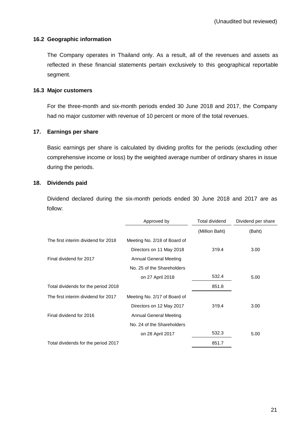#### **16.2 Geographic information**

The Company operates in Thailand only. As a result, all of the revenues and assets as reflected in these financial statements pertain exclusively to this geographical reportable segment.

#### **16.3 Major customers**

For the three-month and six-month periods ended 30 June 2018 and 2017, the Company had no major customer with revenue of 10 percent or more of the total revenues.

## **17. Earnings per share**

Basic earnings per share is calculated by dividing profits for the periods (excluding other comprehensive income or loss) by the weighted average number of ordinary shares in issue during the periods.

## **18. Dividends paid**

Dividend declared during the six-month periods ended 30 June 2018 and 2017 are as follow:

|                                     | Approved by                   | <b>Total dividend</b> | Dividend per share |  |
|-------------------------------------|-------------------------------|-----------------------|--------------------|--|
|                                     |                               | (Million Baht)        | (Baht)             |  |
| The first interim dividend for 2018 | Meeting No. 2/18 of Board of  |                       |                    |  |
|                                     | Directors on 11 May 2018      | 319.4                 | 3.00               |  |
| Final dividend for 2017             | <b>Annual General Meeting</b> |                       |                    |  |
|                                     | No. 25 of the Shareholders    |                       |                    |  |
|                                     | on 27 April 2018              | 532.4                 | 5.00               |  |
| Total dividends for the period 2018 |                               | 851.8                 |                    |  |
| The first interim dividend for 2017 | Meeting No. 2/17 of Board of  |                       |                    |  |
|                                     | Directors on 12 May 2017      | 319.4                 | 3.00               |  |
| Final dividend for 2016             | <b>Annual General Meeting</b> |                       |                    |  |
|                                     | No. 24 of the Shareholders    |                       |                    |  |
|                                     | on 28 April 2017              | 532.3                 | 5.00               |  |
| Total dividends for the period 2017 |                               | 851.7                 |                    |  |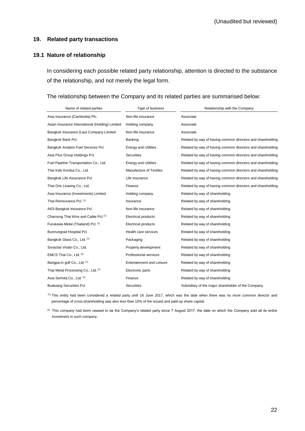#### **19. Related party transactions**

#### **19.1 Nature of relationship**

In considering each possible related party relationship, attention is directed to the substance of the relationship, and not merely the legal form.

#### The relationship between the Company and its related parties are summarised below:

| Name of related parties                          | Type of business                 | Relationship with the Company                              |
|--------------------------------------------------|----------------------------------|------------------------------------------------------------|
| Asia Insurance (Cambodia) Plc.                   | Non-life insurance               | Associate                                                  |
| Asian Insurance International (Holding) Limited  | Holding company                  | Associate                                                  |
| Bangkok Insurance (Lao) Company Limited          | Non-life insurance               | Associate                                                  |
| Bangkok Bank Pcl.                                | Banking                          | Related by way of having common directors and shareholding |
| Bangkok Aviation Fuel Services Pcl.              | <b>Energy and Utilities</b>      | Related by way of having common directors and shareholding |
| Asia Plus Group Holdings Pcl.                    | <b>Securities</b>                | Related by way of having common directors and shareholding |
| Fuel Pipeline Transportation Co., Ltd.           | <b>Energy and Utilities</b>      | Related by way of having common directors and shareholding |
| Thai Indo Kordsa Co., Ltd.                       | Manufacture of Textiles          | Related by way of having common directors and shareholding |
| Bangkok Life Assurance Pcl.                      | Life insurance                   | Related by way of having common directors and shareholding |
| Thai Orix Leasing Co., Ltd.                      | Finance                          | Related by way of having common directors and shareholding |
| Asia Insurance (Investments) Limited             | Holding company                  | Related by way of shareholding                             |
| Thai Reinsurance Pcl. (1)                        | Insurance                        | Related by way of shareholding                             |
| AIOI Bangkok Insurance Pcl.                      | Non-life insurance               | Related by way of shareholding                             |
| Charoong Thai Wire and Cable Pcl. <sup>(1)</sup> | Electrical products              | Related by way of shareholding                             |
| Furukawa Metal (Thailand) Pcl. (1)               | <b>Electrical products</b>       | Related by way of shareholding                             |
| Bumrungrad Hospital Pcl.                         | Health care services             | Related by way of shareholding                             |
| Bangkok Glass Co., Ltd. (1)                      | Packaging                        | Related by way of shareholding                             |
| Sorachai Vivatn Co., Ltd.                        | Property development             | Related by way of shareholding                             |
| EMCS Thai Co., Ltd. (2)                          | Professional services            | Related by way of shareholding                             |
| Bangpa-in golf Co., Ltd. (1)                     | <b>Entertainment and Leisure</b> | Related by way of shareholding                             |
| Thai Metal Processing Co., Ltd. (1)              | Electronic parts                 | Related by way of shareholding                             |
| Asia Sermkij Co., Ltd. (1)                       | Finance                          | Related by way of shareholding                             |
| <b>Bualuang Securities Pcl.</b>                  | <b>Securities</b>                | Subsidiary of the major shareholder of the Company         |

(1) This entity had been considered a related party until 16 June 2017, which was the date when there was no more common director and percentage of cross-shareholding was also less than 10% of the issued and paid-up share capital.

<sup>(2)</sup> This company had been ceased to be the Company's related party since 7 August 2017, the date on which the Company sold all its entire investment in such company.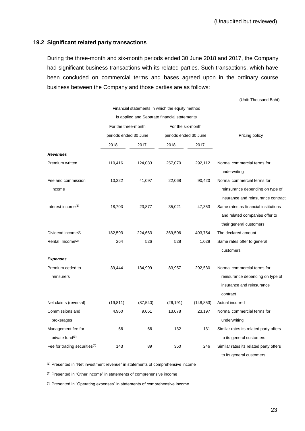### **19.2 Significant related party transactions**

During the three-month and six-month periods ended 30 June 2018 and 2017, the Company had significant business transactions with its related parties. Such transactions, which have been concluded on commercial terms and bases agreed upon in the ordinary course business between the Company and those parties are as follows:

(Unit: Thousand Baht)

|                                |                                              |           | Financial statements in which the equity method |            |                                             |  |
|--------------------------------|----------------------------------------------|-----------|-------------------------------------------------|------------|---------------------------------------------|--|
|                                | is applied and Separate financial statements |           |                                                 |            |                                             |  |
|                                | For the three-month                          |           | For the six-month                               |            |                                             |  |
|                                | periods ended 30 June                        |           | periods ended 30 June                           |            | Pricing policy                              |  |
|                                | 2018                                         | 2017      | 2018                                            | 2017       |                                             |  |
| <b>Revenues</b>                |                                              |           |                                                 |            |                                             |  |
| Premium written                | 110,416                                      | 124,083   | 257,070                                         | 292,112    | Normal commercial terms for<br>underwriting |  |
| Fee and commission             | 10,322                                       | 41,097    | 22,068                                          | 90,420     | Normal commercial terms for                 |  |
| income                         |                                              |           |                                                 |            | reinsurance depending on type of            |  |
|                                |                                              |           |                                                 |            | insurance and reinsurance contract          |  |
| Interest income $(1)$          | 18,703                                       | 23,877    | 35,021                                          | 47,353     | Same rates as financial institutions        |  |
|                                |                                              |           |                                                 |            | and related companies offer to              |  |
|                                |                                              |           |                                                 |            | their general customers                     |  |
| Dividend income <sup>(1)</sup> | 182,593                                      | 224,663   | 369,506                                         | 403,754    | The declared amount                         |  |
| Rental Income <sup>(2)</sup>   | 264                                          | 526       | 528                                             | 1,028      | Same rates offer to general                 |  |
|                                |                                              |           |                                                 |            | customers                                   |  |
| <b>Expenses</b>                |                                              |           |                                                 |            |                                             |  |
| Premium ceded to               | 39,444                                       | 134,999   | 83,957                                          | 292,530    | Normal commercial terms for                 |  |
| reinsurers                     |                                              |           |                                                 |            | reinsurance depending on type of            |  |
|                                |                                              |           |                                                 |            | insurance and reinsurance                   |  |
|                                |                                              |           |                                                 |            | contract                                    |  |
| Net claims (reversal)          | (19, 811)                                    | (87, 540) | (26, 191)                                       | (148, 853) | Actual incurred                             |  |
| Commissions and                | 4,960                                        | 9,061     | 13,078                                          | 23,197     | Normal commercial terms for                 |  |
| brokerages                     |                                              |           |                                                 |            | underwriting                                |  |
| Management fee for             | 66                                           | 66        | 132                                             | 131        | Similar rates its related party offers      |  |
| private fund <sup>(3)</sup>    |                                              |           |                                                 |            | to its general customers                    |  |
| Fee for trading securities(3)  | 143                                          | 89        | 350                                             | 246        | Similar rates its related party offers      |  |
|                                |                                              |           |                                                 |            | to its general customers                    |  |

(1) Presented in "Net investment revenue" in statements of comprehensive income

(2) Presented in "Other income" in statements of comprehensive income

(3) Presented in "Operating expenses" in statements of comprehensive income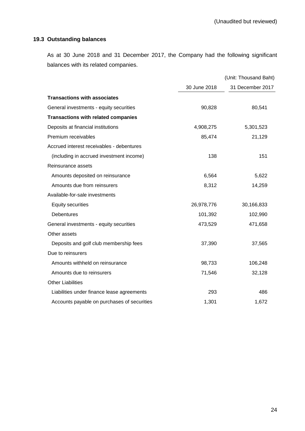# **19.3 Outstanding balances**

As at 30 June 2018 and 31 December 2017, the Company had the following significant balances with its related companies.

|                                             |              | (Unit: Thousand Baht) |
|---------------------------------------------|--------------|-----------------------|
|                                             | 30 June 2018 | 31 December 2017      |
| <b>Transactions with associates</b>         |              |                       |
| General investments - equity securities     | 90,828       | 80,541                |
| <b>Transactions with related companies</b>  |              |                       |
| Deposits at financial institutions          | 4,908,275    | 5,301,523             |
| Premium receivables                         | 85,474       | 21,129                |
| Accrued interest receivables - debentures   |              |                       |
| (including in accrued investment income)    | 138          | 151                   |
| Reinsurance assets                          |              |                       |
| Amounts deposited on reinsurance            | 6,564        | 5,622                 |
| Amounts due from reinsurers                 | 8,312        | 14,259                |
| Available-for-sale investments              |              |                       |
| <b>Equity securities</b>                    | 26,978,776   | 30,166,833            |
| <b>Debentures</b>                           | 101,392      | 102,990               |
| General investments - equity securities     | 473,529      | 471,658               |
| Other assets                                |              |                       |
| Deposits and golf club membership fees      | 37,390       | 37,565                |
| Due to reinsurers                           |              |                       |
| Amounts withheld on reinsurance             | 98,733       | 106,248               |
| Amounts due to reinsurers                   | 71,546       | 32,128                |
| <b>Other Liabilities</b>                    |              |                       |
| Liabilities under finance lease agreements  | 293          | 486                   |
| Accounts payable on purchases of securities | 1,301        | 1,672                 |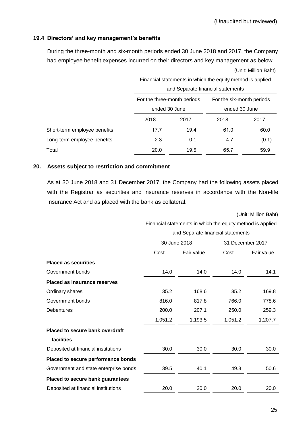## **19.4 Directors' and key management's benefits**

During the three-month and six-month periods ended 30 June 2018 and 2017, the Company had employee benefit expenses incurred on their directors and key management as below. (Unit: Million Baht)

|                              | Financial statements in which the equity method is applied |      |                           |       |
|------------------------------|------------------------------------------------------------|------|---------------------------|-------|
|                              | and Separate financial statements                          |      |                           |       |
|                              | For the three-month periods                                |      | For the six-month periods |       |
|                              | ended 30 June                                              |      | ended 30 June             |       |
|                              | 2018                                                       | 2017 | 2018                      | 2017  |
| Short-term employee benefits | 17.7                                                       | 19.4 | 61.0                      | 60.0  |
| Long-term employee benefits  | 2.3                                                        | 0.1  | 4.7                       | (0.1) |
| Total                        | 20.0                                                       | 19.5 | 65.7                      | 59.9  |

#### **20. Assets subject to restriction and commitment**

As at 30 June 2018 and 31 December 2017, the Company had the following assets placed with the Registrar as securities and insurance reserves in accordance with the Non-life Insurance Act and as placed with the bank as collateral.

(Unit: Million Baht)

Financial statements in which the equity method is applied

|                                        | and Separate financial statements |            |                  |            |
|----------------------------------------|-----------------------------------|------------|------------------|------------|
|                                        | 30 June 2018                      |            | 31 December 2017 |            |
|                                        | Cost                              | Fair value |                  | Fair value |
| <b>Placed as securities</b>            |                                   |            |                  |            |
| Government bonds                       | 14.0                              | 14.0       | 14.0             | 14.1       |
| <b>Placed as insurance reserves</b>    |                                   |            |                  |            |
| Ordinary shares                        | 35.2                              | 168.6      | 35.2             | 169.8      |
| Government bonds                       | 816.0                             | 817.8      | 766.0            | 778.6      |
| <b>Debentures</b>                      | 200.0                             | 207.1      | 250.0            | 259.3      |
|                                        | 1,051.2                           | 1,193.5    | 1,051.2          | 1,207.7    |
| <b>Placed to secure bank overdraft</b> |                                   |            |                  |            |
| facilities                             |                                   |            |                  |            |
| Deposited at financial institutions    | 30.0                              | 30.0       | 30.0             | 30.0       |
| Placed to secure performance bonds     |                                   |            |                  |            |
| Government and state enterprise bonds  | 39.5                              | 40.1       | 49.3             | 50.6       |
| Placed to secure bank guarantees       |                                   |            |                  |            |
| Deposited at financial institutions    | 20.0                              | 20.0       | 20.0             | 20.0       |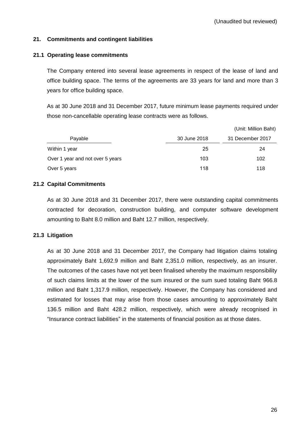## **21. Commitments and contingent liabilities**

#### **21.1 Operating lease commitments**

The Company entered into several lease agreements in respect of the lease of land and office building space. The terms of the agreements are 33 years for land and more than 3 years for office building space.

As at 30 June 2018 and 31 December 2017, future minimum lease payments required under those non-cancellable operating lease contracts were as follows.

|                                  |              | (Unit: Million Baht) |
|----------------------------------|--------------|----------------------|
| Payable                          | 30 June 2018 | 31 December 2017     |
| Within 1 year                    | 25           | 24                   |
| Over 1 year and not over 5 years | 103          | 102                  |
| Over 5 years                     | 118          | 118                  |

## **21.2 Capital Commitments**

As at 30 June 2018 and 31 December 2017, there were outstanding capital commitments contracted for decoration, construction building, and computer software development amounting to Baht 8.0 million and Baht 12.7 million, respectively.

## **21.3 Litigation**

As at 30 June 2018 and 31 December 2017, the Company had litigation claims totaling approximately Baht 1,692.9 million and Baht 2,351.0 million, respectively, as an insurer. The outcomes of the cases have not yet been finalised whereby the maximum responsibility of such claims limits at the lower of the sum insured or the sum sued totaling Baht 966.8 million and Baht 1,317.9 million, respectively. However, the Company has considered and estimated for losses that may arise from those cases amounting to approximately Baht 136.5 million and Baht 428.2 million, respectively, which were already recognised in "Insurance contract liabilities" in the statements of financial position as at those dates.